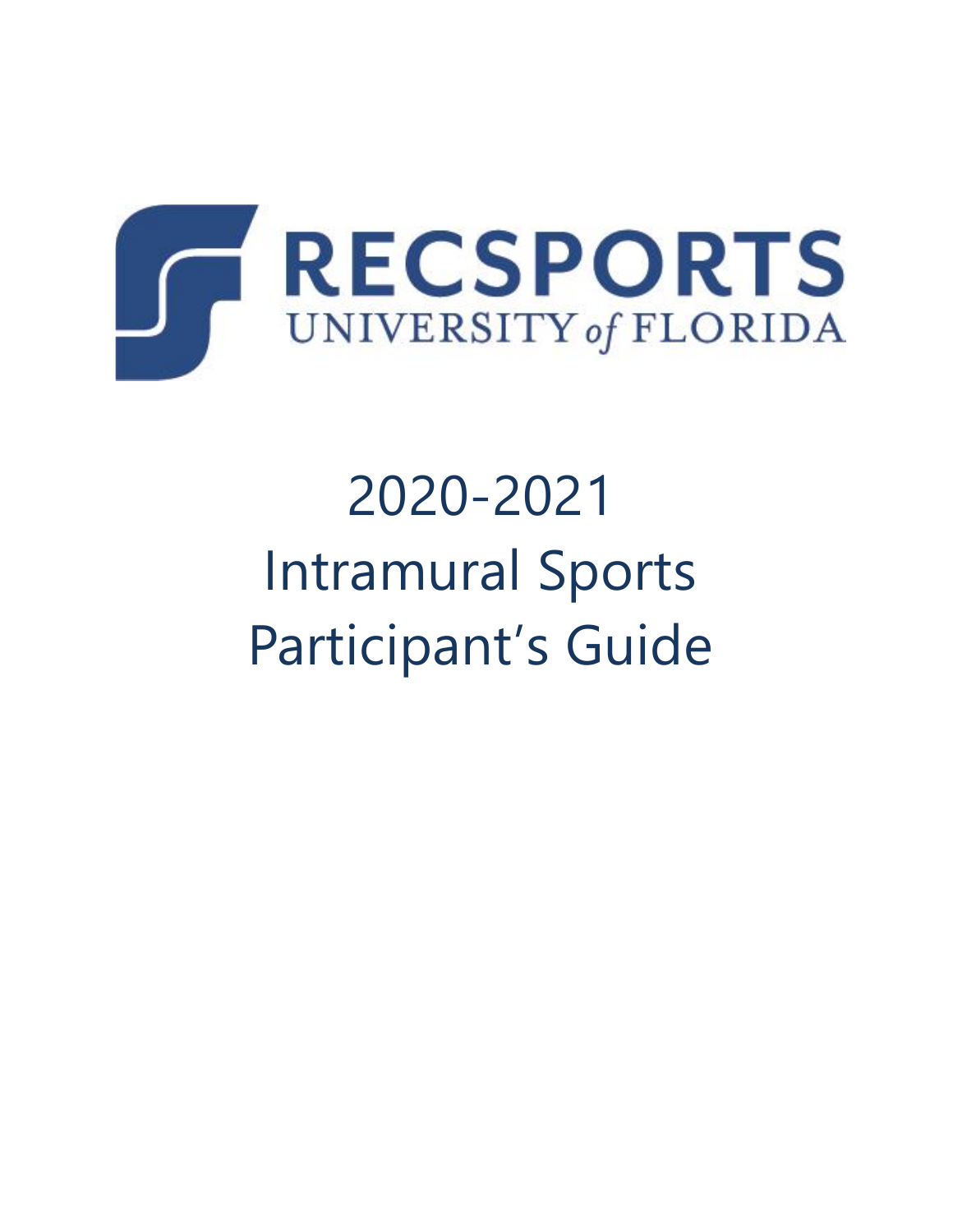

# 2020-2021 Intramural Sports Participant's Guide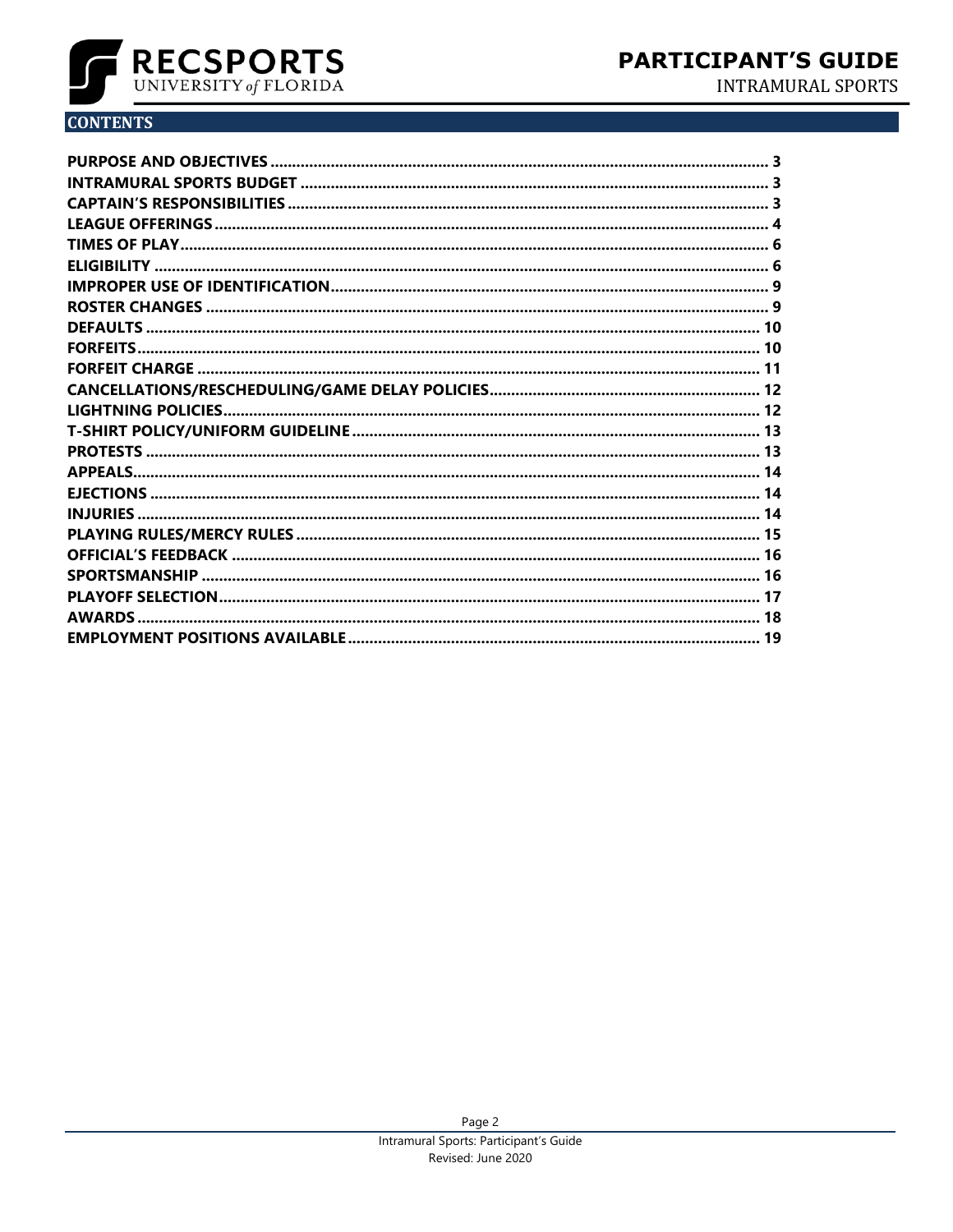

**INTRAMURAL SPORTS** 

# **CONTENTS**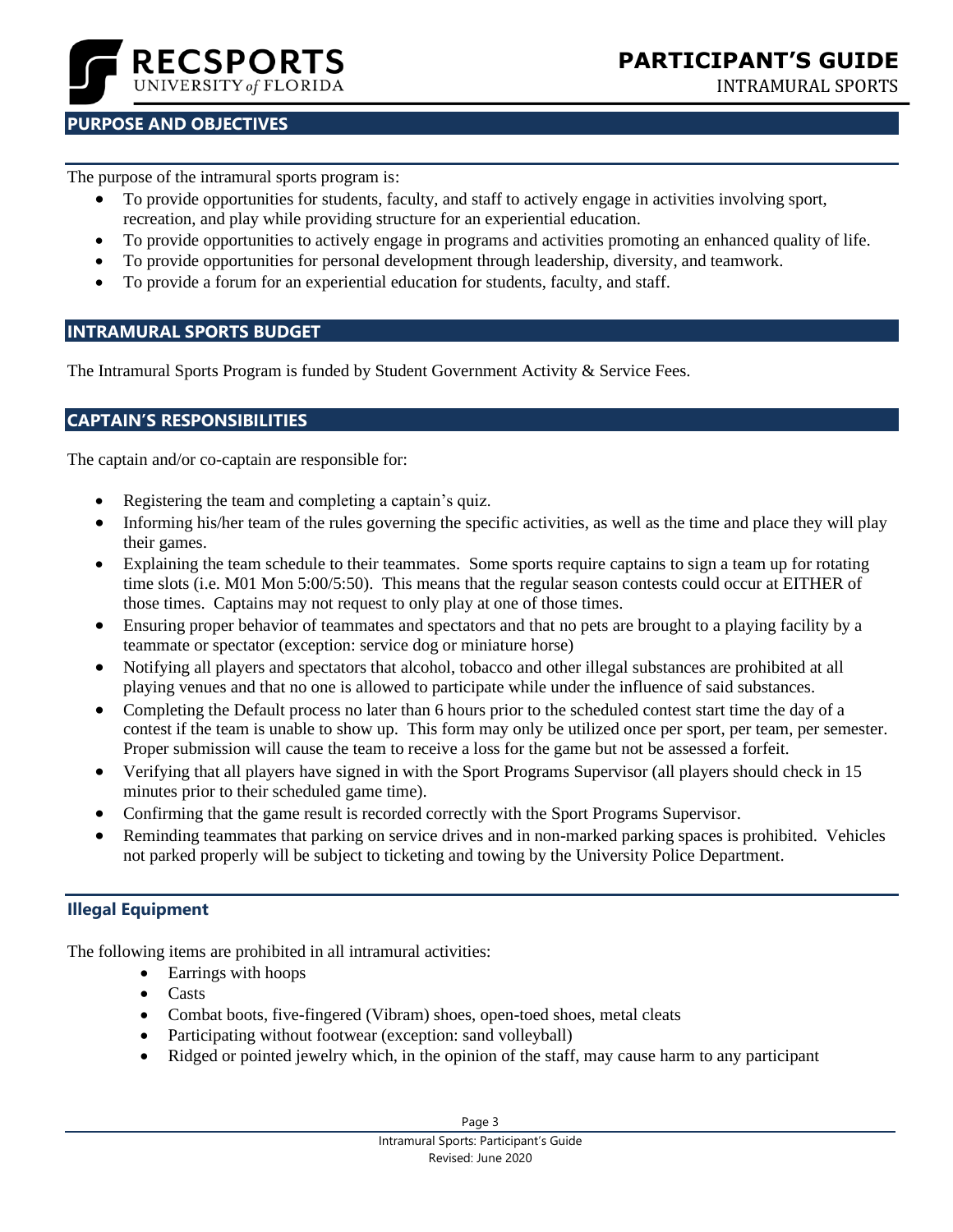

#### **FOCUS GROUPS** INTRAMURAL SPORTS

# <span id="page-2-0"></span>**PURPOSE AND OBJECTIVES**

The purpose of the intramural sports program is:

- To provide opportunities for students, faculty, and staff to actively engage in activities involving sport, recreation, and play while providing structure for an experiential education.
- To provide opportunities to actively engage in programs and activities promoting an enhanced quality of life.
- To provide opportunities for personal development through leadership, diversity, and teamwork.
- To provide a forum for an experiential education for students, faculty, and staff.

#### <span id="page-2-1"></span>**INTRAMURAL SPORTS BUDGET**

<span id="page-2-2"></span>The Intramural Sports Program is funded by Student Government Activity & Service Fees.

#### **CAPTAIN'S RESPONSIBILITIES**

The captain and/or co-captain are responsible for:

- Registering the team and completing a captain's quiz.
- Informing his/her team of the rules governing the specific activities, as well as the time and place they will play their games.
- Explaining the team schedule to their teammates. Some sports require captains to sign a team up for rotating time slots (i.e. M01 Mon 5:00/5:50). This means that the regular season contests could occur at EITHER of those times. Captains may not request to only play at one of those times.
- Ensuring proper behavior of teammates and spectators and that no pets are brought to a playing facility by a teammate or spectator (exception: service dog or miniature horse)
- Notifying all players and spectators that alcohol, tobacco and other illegal substances are prohibited at all playing venues and that no one is allowed to participate while under the influence of said substances.
- Completing the Default process no later than 6 hours prior to the scheduled contest start time the day of a contest if the team is unable to show up. This form may only be utilized once per sport, per team, per semester. Proper submission will cause the team to receive a loss for the game but not be assessed a forfeit.
- Verifying that all players have signed in with the Sport Programs Supervisor (all players should check in 15 minutes prior to their scheduled game time).
- Confirming that the game result is recorded correctly with the Sport Programs Supervisor.
- Reminding teammates that parking on service drives and in non-marked parking spaces is prohibited. Vehicles not parked properly will be subject to ticketing and towing by the University Police Department.

# **Illegal Equipment**

The following items are prohibited in all intramural activities:

- Earrings with hoops
- Casts
- Combat boots, five-fingered (Vibram) shoes, open-toed shoes, metal cleats
- Participating without footwear (exception: sand volleyball)
- Ridged or pointed jewelry which, in the opinion of the staff, may cause harm to any participant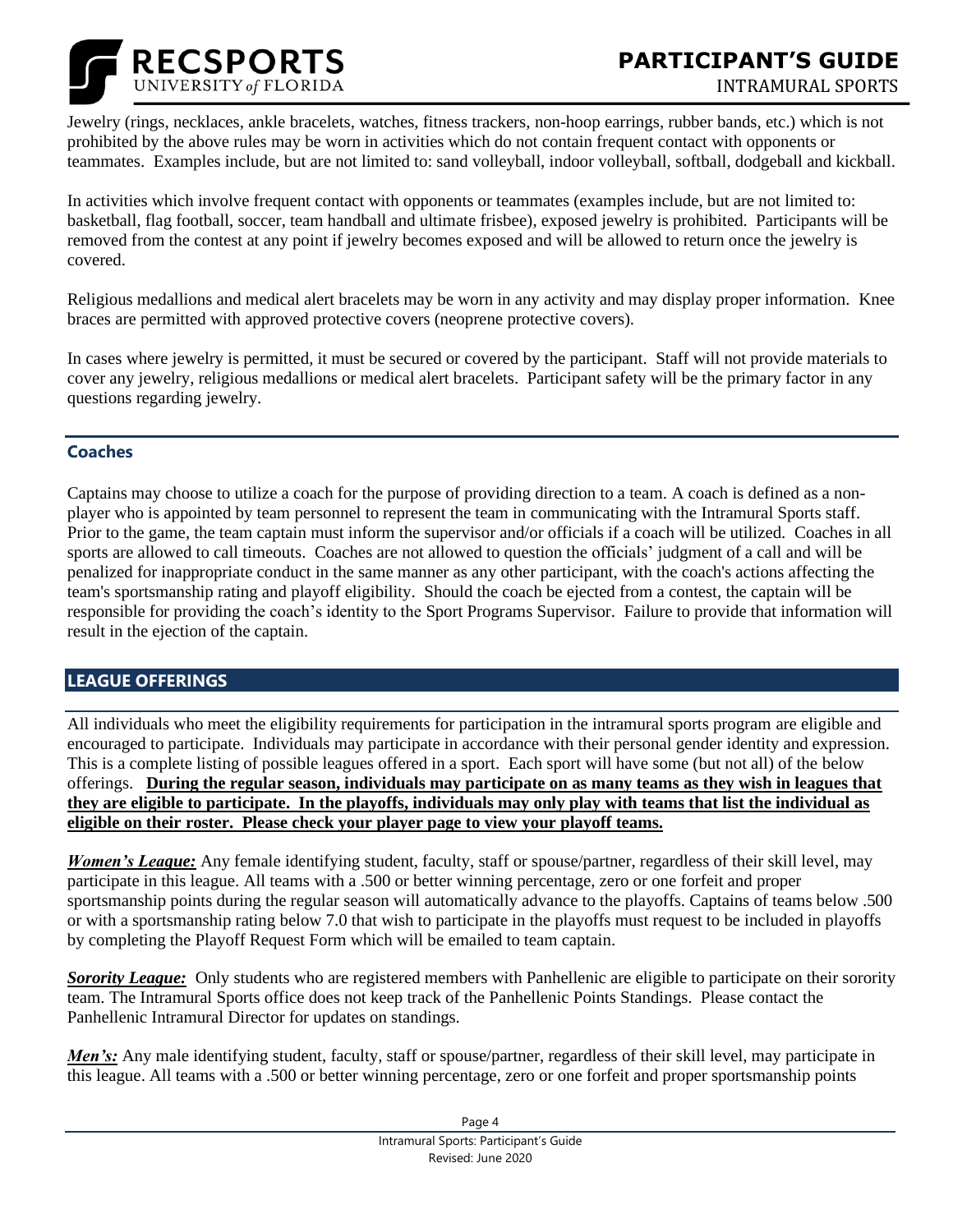

Jewelry (rings, necklaces, ankle bracelets, watches, fitness trackers, non-hoop earrings, rubber bands, etc.) which is not prohibited by the above rules may be worn in activities which do not contain frequent contact with opponents or teammates. Examples include, but are not limited to: sand volleyball, indoor volleyball, softball, dodgeball and kickball.

In activities which involve frequent contact with opponents or teammates (examples include, but are not limited to: basketball, flag football, soccer, team handball and ultimate frisbee), exposed jewelry is prohibited. Participants will be removed from the contest at any point if jewelry becomes exposed and will be allowed to return once the jewelry is covered.

Religious medallions and medical alert bracelets may be worn in any activity and may display proper information. Knee braces are permitted with approved protective covers (neoprene protective covers).

In cases where jewelry is permitted, it must be secured or covered by the participant. Staff will not provide materials to cover any jewelry, religious medallions or medical alert bracelets. Participant safety will be the primary factor in any questions regarding jewelry.

#### **Coaches**

Captains may choose to utilize a coach for the purpose of providing direction to a team. A coach is defined as a nonplayer who is appointed by team personnel to represent the team in communicating with the Intramural Sports staff. Prior to the game, the team captain must inform the supervisor and/or officials if a coach will be utilized. Coaches in all sports are allowed to call timeouts. Coaches are not allowed to question the officials' judgment of a call and will be penalized for inappropriate conduct in the same manner as any other participant, with the coach's actions affecting the team's sportsmanship rating and playoff eligibility. Should the coach be ejected from a contest, the captain will be responsible for providing the coach's identity to the Sport Programs Supervisor. Failure to provide that information will result in the ejection of the captain.

# <span id="page-3-0"></span>**LEAGUE OFFERINGS**

All individuals who meet the eligibility requirements for participation in the intramural sports program are eligible and encouraged to participate. Individuals may participate in accordance with their personal gender identity and expression. This is a complete listing of possible leagues offered in a sport. Each sport will have some (but not all) of the below offerings. **During the regular season, individuals may participate on as many teams as they wish in leagues that they are eligible to participate. In the playoffs, individuals may only play with teams that list the individual as eligible on their roster. Please check your player page to view your playoff teams.**

*Women's League:* Any female identifying student, faculty, staff or spouse/partner, regardless of their skill level, may participate in this league. All teams with a .500 or better winning percentage, zero or one forfeit and proper sportsmanship points during the regular season will automatically advance to the playoffs. Captains of teams below .500 or with a sportsmanship rating below 7.0 that wish to participate in the playoffs must request to be included in playoffs by completing the Playoff Request Form which will be emailed to team captain.

*Sorority League:* Only students who are registered members with Panhellenic are eligible to participate on their sorority team. The Intramural Sports office does not keep track of the Panhellenic Points Standings. Please contact the Panhellenic Intramural Director for updates on standings.

*Men's:* Any male identifying student, faculty, staff or spouse/partner, regardless of their skill level, may participate in this league. All teams with a .500 or better winning percentage, zero or one forfeit and proper sportsmanship points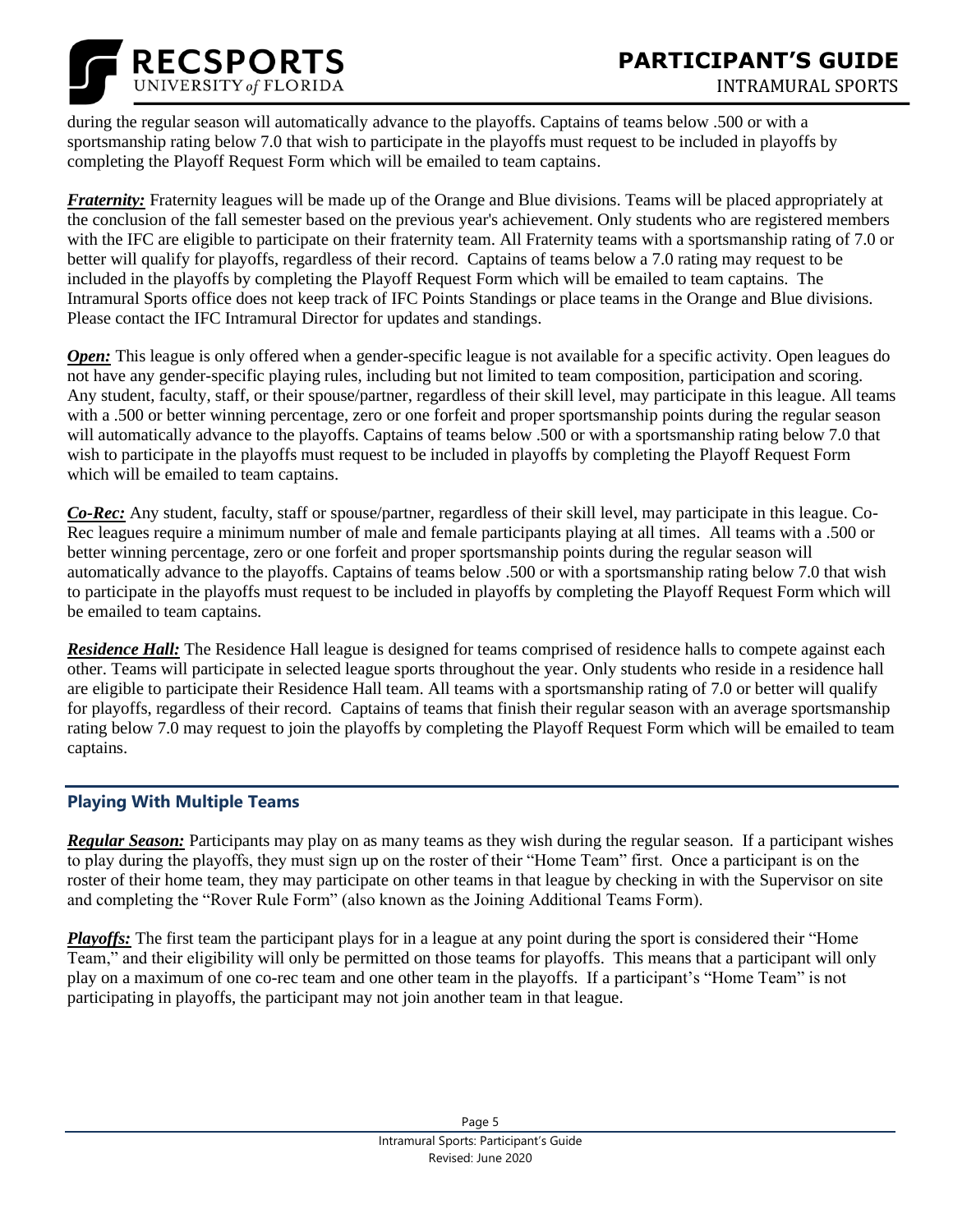



during the regular season will automatically advance to the playoffs. Captains of teams below .500 or with a sportsmanship rating below 7.0 that wish to participate in the playoffs must request to be included in playoffs by completing the Playoff Request Form which will be emailed to team captains.

*Fraternity:* Fraternity leagues will be made up of the Orange and Blue divisions. Teams will be placed appropriately at the conclusion of the fall semester based on the previous year's achievement. Only students who are registered members with the IFC are eligible to participate on their fraternity team. All Fraternity teams with a sportsmanship rating of 7.0 or better will qualify for playoffs, regardless of their record. Captains of teams below a 7.0 rating may request to be included in the playoffs by completing the Playoff Request Form which will be emailed to team captains. The Intramural Sports office does not keep track of IFC Points Standings or place teams in the Orange and Blue divisions. Please contact the IFC Intramural Director for updates and standings.

*Open:* This league is only offered when a gender-specific league is not available for a specific activity. Open leagues do not have any gender-specific playing rules, including but not limited to team composition, participation and scoring. Any student, faculty, staff, or their spouse/partner, regardless of their skill level, may participate in this league. All teams with a .500 or better winning percentage, zero or one forfeit and proper sportsmanship points during the regular season will automatically advance to the playoffs. Captains of teams below .500 or with a sportsmanship rating below 7.0 that wish to participate in the playoffs must request to be included in playoffs by completing the Playoff Request Form which will be emailed to team captains.

*Co-Rec:* Any student, faculty, staff or spouse/partner, regardless of their skill level, may participate in this league. Co-Rec leagues require a minimum number of male and female participants playing at all times. All teams with a .500 or better winning percentage, zero or one forfeit and proper sportsmanship points during the regular season will automatically advance to the playoffs. Captains of teams below .500 or with a sportsmanship rating below 7.0 that wish to participate in the playoffs must request to be included in playoffs by completing the Playoff Request Form which will be emailed to team captains.

*Residence Hall:* The Residence Hall league is designed for teams comprised of residence halls to compete against each other. Teams will participate in selected league sports throughout the year. Only students who reside in a residence hall are eligible to participate their Residence Hall team. All teams with a sportsmanship rating of 7.0 or better will qualify for playoffs, regardless of their record. Captains of teams that finish their regular season with an average sportsmanship rating below 7.0 may request to join the playoffs by completing the Playoff Request Form which will be emailed to team captains.

# **Playing With Multiple Teams**

*Regular Season:* Participants may play on as many teams as they wish during the regular season. If a participant wishes to play during the playoffs, they must sign up on the roster of their "Home Team" first. Once a participant is on the roster of their home team, they may participate on other teams in that league by checking in with the Supervisor on site and completing the "Rover Rule Form" (also known as the Joining Additional Teams Form).

*Playoffs:* The first team the participant plays for in a league at any point during the sport is considered their "Home Team," and their eligibility will only be permitted on those teams for playoffs. This means that a participant will only play on a maximum of one co-rec team and one other team in the playoffs. If a participant's "Home Team" is not participating in playoffs, the participant may not join another team in that league.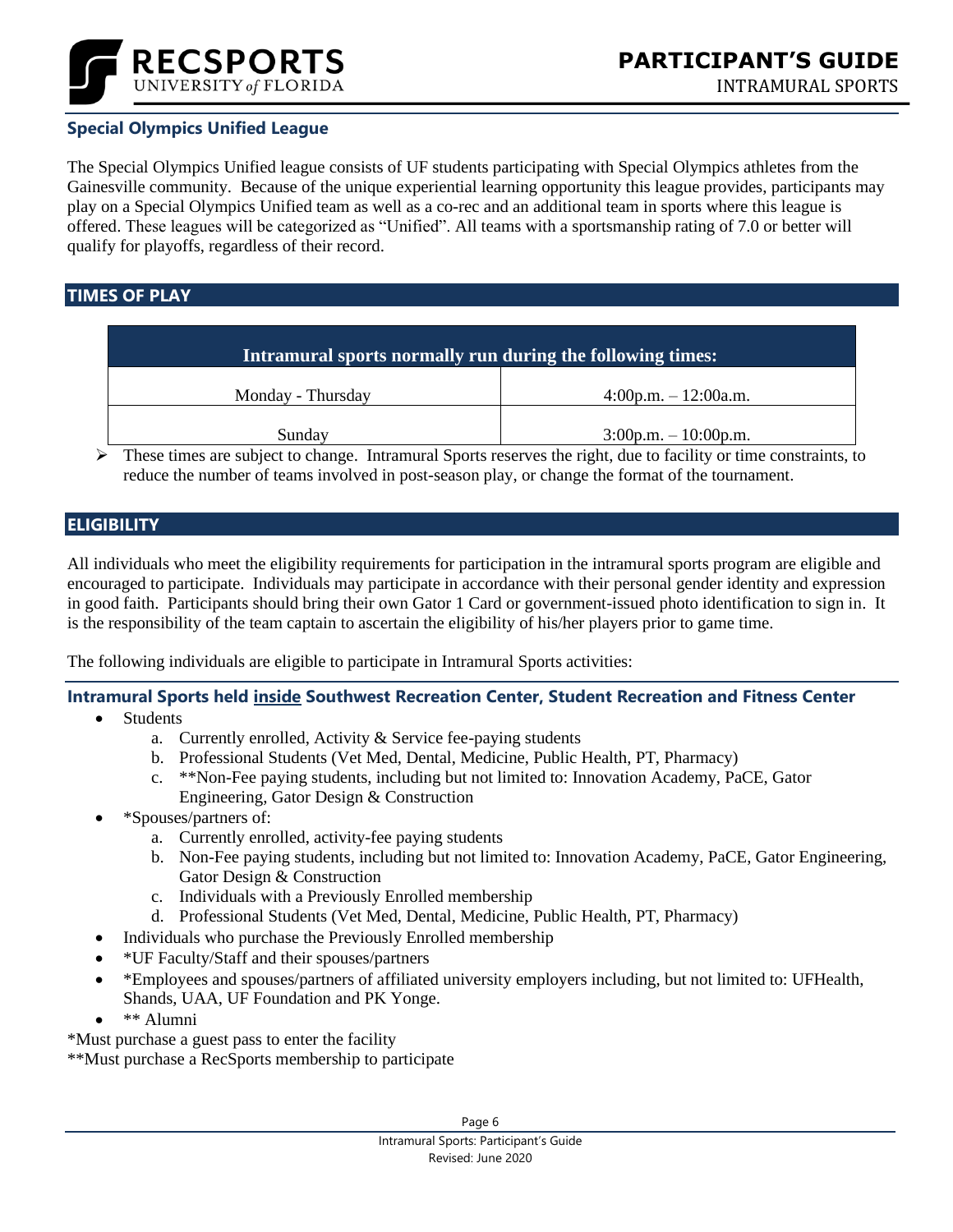

# **Special Olympics Unified League**

The Special Olympics Unified league consists of UF students participating with Special Olympics athletes from the Gainesville community. Because of the unique experiential learning opportunity this league provides, participants may play on a Special Olympics Unified team as well as a co-rec and an additional team in sports where this league is offered. These leagues will be categorized as "Unified". All teams with a sportsmanship rating of 7.0 or better will qualify for playoffs, regardless of their record.

#### <span id="page-5-0"></span>**TIMES OF PLAY**

| Intramural sports normally run during the following times: |                        |
|------------------------------------------------------------|------------------------|
| Monday - Thursday                                          | $4:00p.m. - 12:00a.m.$ |
| Sunday                                                     | $3:00p.m. - 10:00p.m.$ |

 $\triangleright$  These times are subject to change. Intramural Sports reserves the right, due to facility or time constraints, to reduce the number of teams involved in post-season play, or change the format of the tournament.

#### <span id="page-5-1"></span>**ELIGIBILITY**

All individuals who meet the eligibility requirements for participation in the intramural sports program are eligible and encouraged to participate. Individuals may participate in accordance with their personal gender identity and expression in good faith. Participants should bring their own Gator 1 Card or government-issued photo identification to sign in. It is the responsibility of the team captain to ascertain the eligibility of his/her players prior to game time.

The following individuals are eligible to participate in Intramural Sports activities:

#### **Intramural Sports held inside Southwest Recreation Center, Student Recreation and Fitness Center**

- **Students** 
	- a. Currently enrolled, Activity & Service fee-paying students
	- b. Professional Students (Vet Med, Dental, Medicine, Public Health, PT, Pharmacy)
	- c. \*\*Non-Fee paying students, including but not limited to: Innovation Academy, PaCE, Gator Engineering, Gator Design & Construction
- \*Spouses/partners of:
	- a. Currently enrolled, activity-fee paying students
	- b. Non-Fee paying students, including but not limited to: Innovation Academy, PaCE, Gator Engineering, Gator Design & Construction
	- c. Individuals with a Previously Enrolled membership
	- d. Professional Students (Vet Med, Dental, Medicine, Public Health, PT, Pharmacy)
- Individuals who purchase the Previously Enrolled membership
- \*UF Faculty/Staff and their spouses/partners
- \*Employees and spouses/partners of affiliated university employers including, but not limited to: UFHealth, Shands, UAA, UF Foundation and PK Yonge.
- \*\* Alumni

\*Must purchase a guest pass to enter the facility

\*\*Must purchase a RecSports membership to participate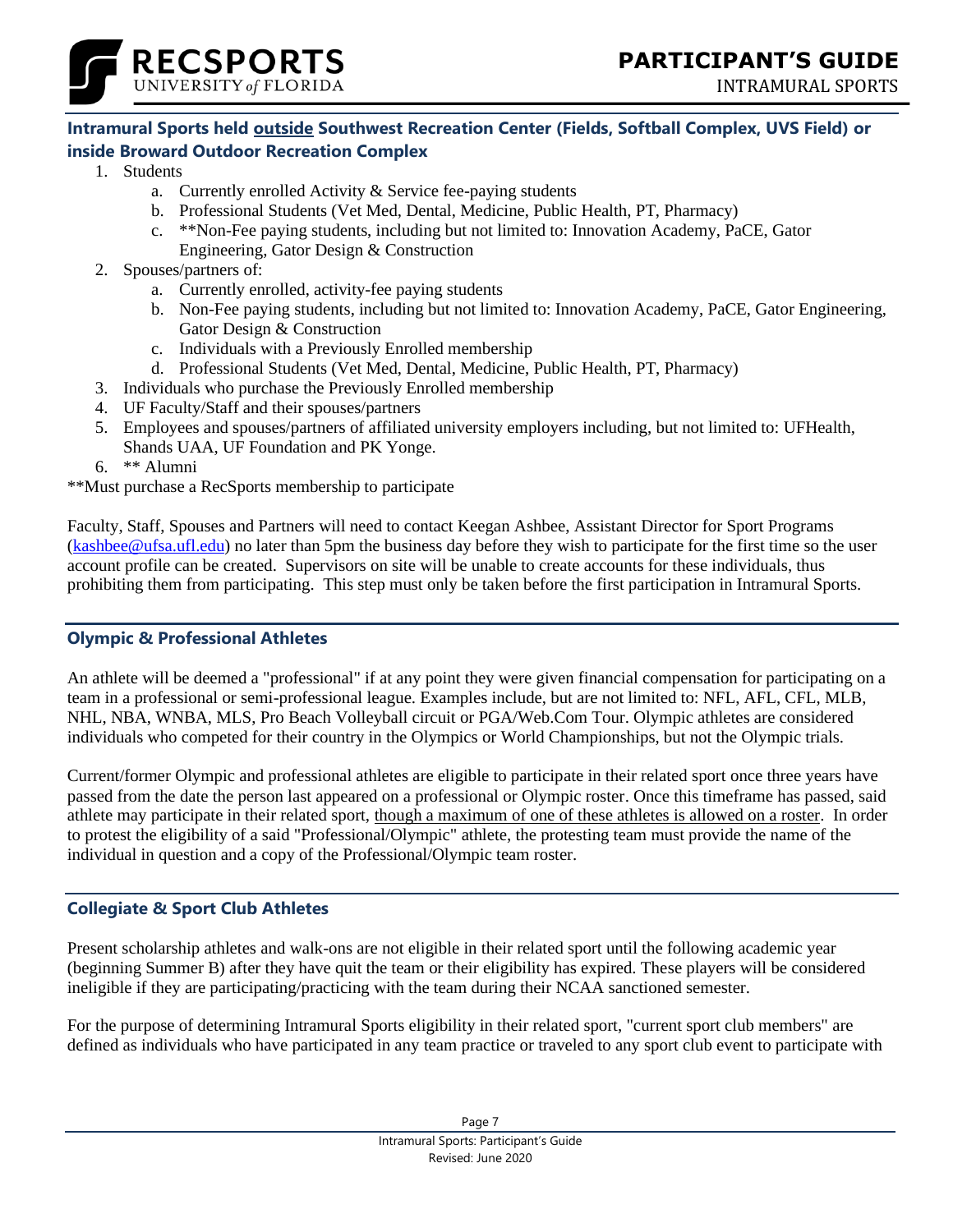



# **Intramural Sports held outside Southwest Recreation Center (Fields, Softball Complex, UVS Field) or inside Broward Outdoor Recreation Complex**

- 1. Students
	- a. Currently enrolled Activity & Service fee-paying students
	- b. Professional Students (Vet Med, Dental, Medicine, Public Health, PT, Pharmacy)
	- c. \*\*Non-Fee paying students, including but not limited to: Innovation Academy, PaCE, Gator Engineering, Gator Design & Construction
- 2. Spouses/partners of:
	- a. Currently enrolled, activity-fee paying students
	- b. Non-Fee paying students, including but not limited to: Innovation Academy, PaCE, Gator Engineering, Gator Design & Construction
	- c. Individuals with a Previously Enrolled membership
	- d. Professional Students (Vet Med, Dental, Medicine, Public Health, PT, Pharmacy)
- 3. Individuals who purchase the Previously Enrolled membership
- 4. UF Faculty/Staff and their spouses/partners
- 5. Employees and spouses/partners of affiliated university employers including, but not limited to: UFHealth, Shands UAA, UF Foundation and PK Yonge.
- 6. \*\* Alumni

\*\*Must purchase a RecSports membership to participate

Faculty, Staff, Spouses and Partners will need to contact Keegan Ashbee, Assistant Director for Sport Programs [\(kashbee@ufsa.ufl.edu\)](mailto:kashbee@ufsa.ufl.edu) no later than 5pm the business day before they wish to participate for the first time so the user account profile can be created. Supervisors on site will be unable to create accounts for these individuals, thus prohibiting them from participating. This step must only be taken before the first participation in Intramural Sports.

# **Olympic & Professional Athletes**

An athlete will be deemed a "professional" if at any point they were given financial compensation for participating on a team in a professional or semi-professional league. Examples include, but are not limited to: NFL, AFL, CFL, MLB, NHL, NBA, WNBA, MLS, Pro Beach Volleyball circuit or PGA/Web.Com Tour. Olympic athletes are considered individuals who competed for their country in the Olympics or World Championships, but not the Olympic trials.

Current/former Olympic and professional athletes are eligible to participate in their related sport once three years have passed from the date the person last appeared on a professional or Olympic roster. Once this timeframe has passed, said athlete may participate in their related sport, though a maximum of one of these athletes is allowed on a roster. In order to protest the eligibility of a said "Professional/Olympic" athlete, the protesting team must provide the name of the individual in question and a copy of the Professional/Olympic team roster.

#### **Collegiate & Sport Club Athletes**

Present scholarship athletes and walk-ons are not eligible in their related sport until the following academic year (beginning Summer B) after they have quit the team or their eligibility has expired. These players will be considered ineligible if they are participating/practicing with the team during their NCAA sanctioned semester.

For the purpose of determining Intramural Sports eligibility in their related sport, "current sport club members" are defined as individuals who have participated in any team practice or traveled to any sport club event to participate with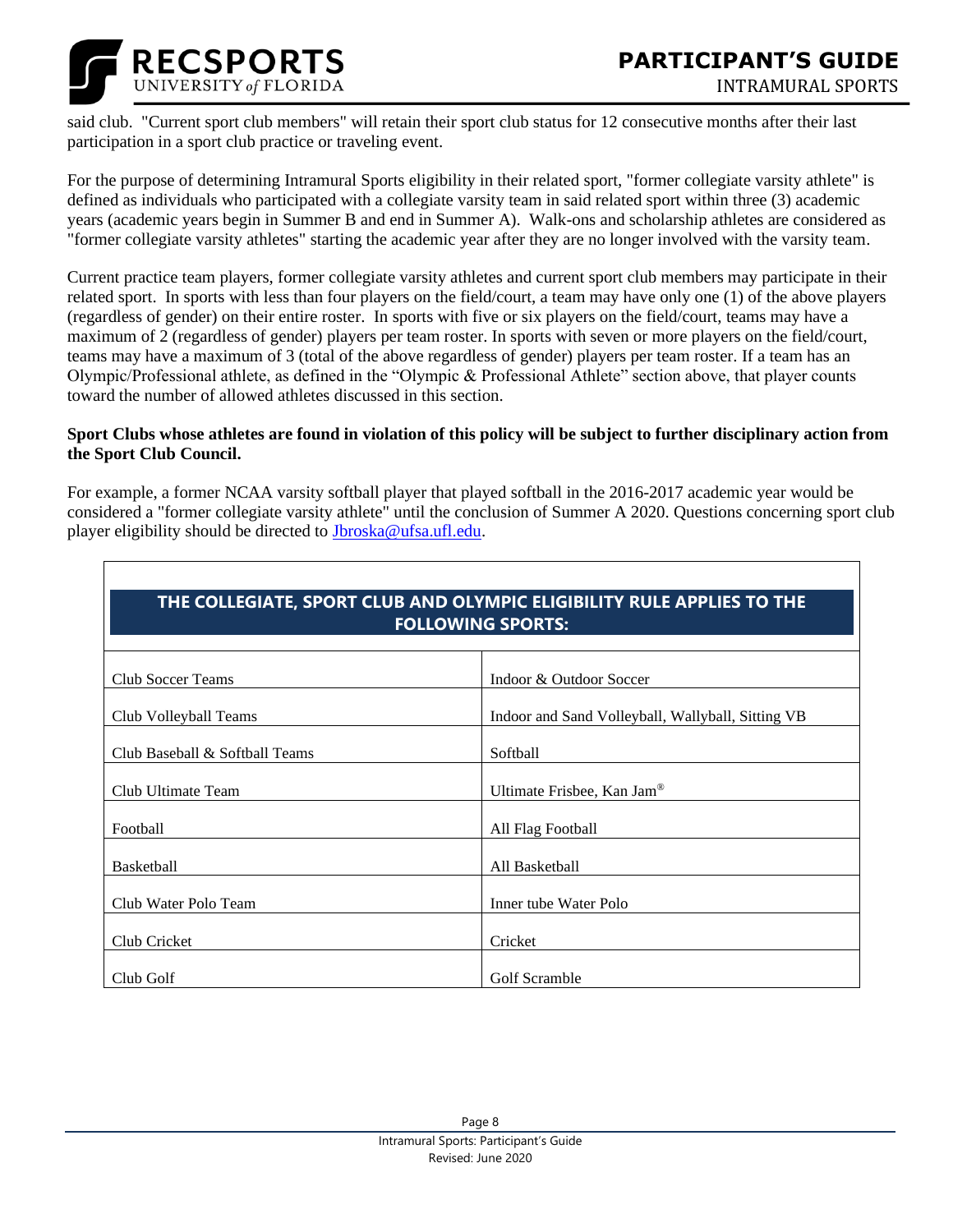

said club. "Current sport club members" will retain their sport club status for 12 consecutive months after their last participation in a sport club practice or traveling event.

For the purpose of determining Intramural Sports eligibility in their related sport, "former collegiate varsity athlete" is defined as individuals who participated with a collegiate varsity team in said related sport within three (3) academic years (academic years begin in Summer B and end in Summer A). Walk-ons and scholarship athletes are considered as "former collegiate varsity athletes" starting the academic year after they are no longer involved with the varsity team.

Current practice team players, former collegiate varsity athletes and current sport club members may participate in their related sport. In sports with less than four players on the field/court, a team may have only one (1) of the above players (regardless of gender) on their entire roster. In sports with five or six players on the field/court, teams may have a maximum of 2 (regardless of gender) players per team roster. In sports with seven or more players on the field/court, teams may have a maximum of 3 (total of the above regardless of gender) players per team roster. If a team has an Olympic/Professional athlete, as defined in the "Olympic & Professional Athlete" section above, that player counts toward the number of allowed athletes discussed in this section.

#### **Sport Clubs whose athletes are found in violation of this policy will be subject to further disciplinary action from the Sport Club Council.**

For example, a former NCAA varsity softball player that played softball in the 2016-2017 academic year would be considered a "former collegiate varsity athlete" until the conclusion of Summer A 2020. Questions concerning sport club player eligibility should be directed to [Jbroska@ufsa.ufl.edu.](mailto:Jbroska@ufsa.ufl.edu)

|                                | THE COLLEGIATE, SPORT CLUB AND OLYMPIC ELIGIBILITY RULE APPLIES TO THE |  |  |  |
|--------------------------------|------------------------------------------------------------------------|--|--|--|
| <b>FOLLOWING SPORTS:</b>       |                                                                        |  |  |  |
| <b>Club Soccer Teams</b>       | Indoor & Outdoor Soccer                                                |  |  |  |
| Club Volleyball Teams          | Indoor and Sand Volleyball, Wallyball, Sitting VB                      |  |  |  |
| Club Baseball & Softball Teams | Softball                                                               |  |  |  |
| Club Ultimate Team             | Ultimate Frisbee, Kan Jam <sup>®</sup>                                 |  |  |  |
| Football                       | All Flag Football                                                      |  |  |  |
| Basketball                     | All Basketball                                                         |  |  |  |
| Club Water Polo Team           | Inner tube Water Polo                                                  |  |  |  |
| Club Cricket                   | Cricket                                                                |  |  |  |
| Club Golf                      | Golf Scramble                                                          |  |  |  |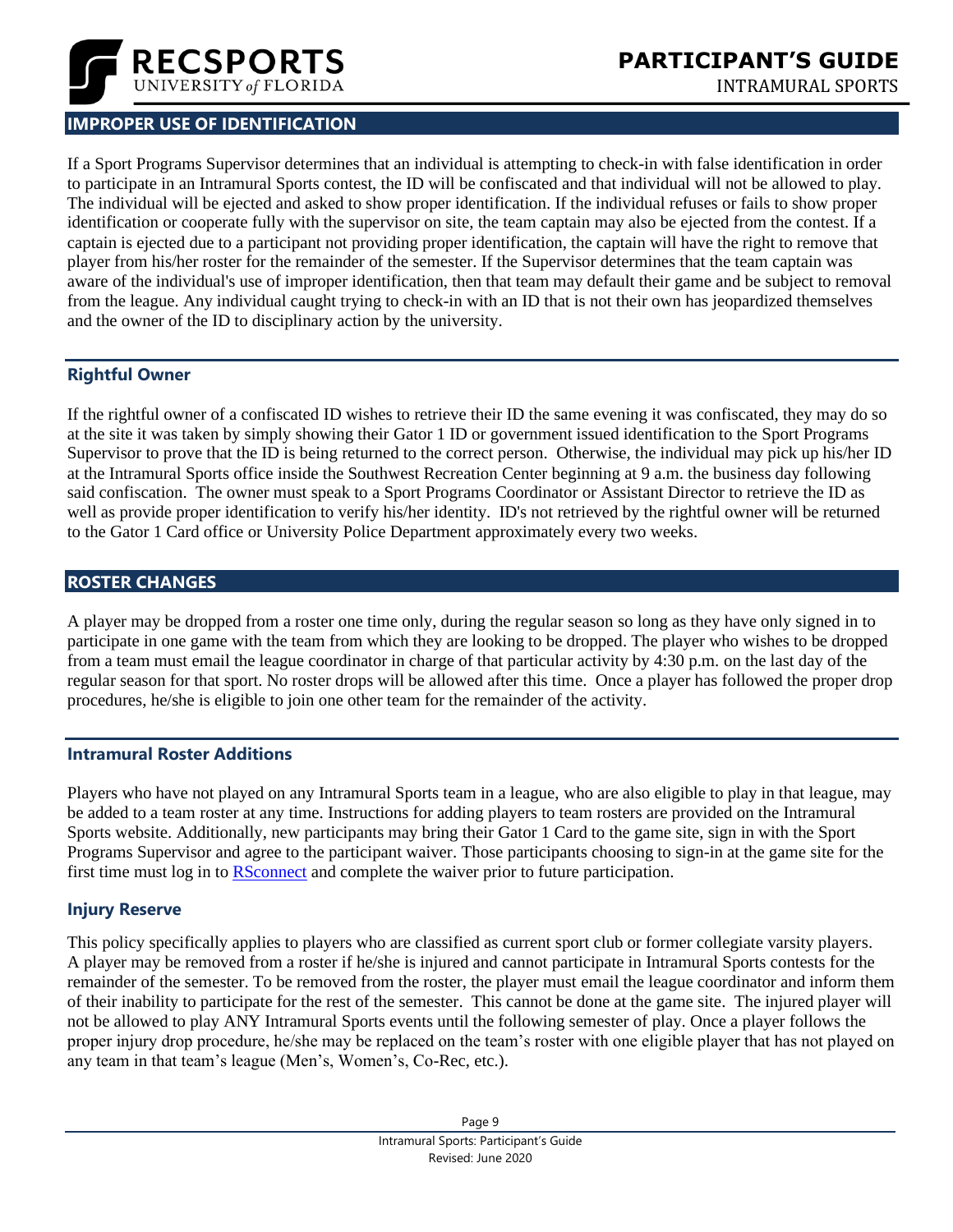

# <span id="page-8-0"></span>**IMPROPER USE OF IDENTIFICATION**

If a Sport Programs Supervisor determines that an individual is attempting to check-in with false identification in order to participate in an Intramural Sports contest, the ID will be confiscated and that individual will not be allowed to play. The individual will be ejected and asked to show proper identification. If the individual refuses or fails to show proper identification or cooperate fully with the supervisor on site, the team captain may also be ejected from the contest. If a captain is ejected due to a participant not providing proper identification, the captain will have the right to remove that player from his/her roster for the remainder of the semester. If the Supervisor determines that the team captain was aware of the individual's use of improper identification, then that team may default their game and be subject to removal from the league. Any individual caught trying to check-in with an ID that is not their own has jeopardized themselves and the owner of the ID to disciplinary action by the university.

#### **Rightful Owner**

If the rightful owner of a confiscated ID wishes to retrieve their ID the same evening it was confiscated, they may do so at the site it was taken by simply showing their Gator 1 ID or government issued identification to the Sport Programs Supervisor to prove that the ID is being returned to the correct person. Otherwise, the individual may pick up his/her ID at the Intramural Sports office inside the Southwest Recreation Center beginning at 9 a.m. the business day following said confiscation. The owner must speak to a Sport Programs Coordinator or Assistant Director to retrieve the ID as well as provide proper identification to verify his/her identity. ID's not retrieved by the rightful owner will be returned to the Gator 1 Card office or University Police Department approximately every two weeks.

#### <span id="page-8-1"></span>**ROSTER CHANGES**

A player may be dropped from a roster one time only, during the regular season so long as they have only signed in to participate in one game with the team from which they are looking to be dropped. The player who wishes to be dropped from a team must email the league coordinator in charge of that particular activity by 4:30 p.m. on the last day of the regular season for that sport. No roster drops will be allowed after this time. Once a player has followed the proper drop procedures, he/she is eligible to join one other team for the remainder of the activity.

#### **Intramural Roster Additions**

Players who have not played on any Intramural Sports team in a league, who are also eligible to play in that league, may be added to a team roster at any time. Instructions for adding players to team rosters are provided on the Intramural Sports website. Additionally, new participants may bring their Gator 1 Card to the game site, sign in with the Sport Programs Supervisor and agree to the participant waiver. Those participants choosing to sign-in at the game site for the first time must log in to **RSconnect** and complete the waiver prior to future participation.

#### **Injury Reserve**

This policy specifically applies to players who are classified as current sport club or former collegiate varsity players. A player may be removed from a roster if he/she is injured and cannot participate in Intramural Sports contests for the remainder of the semester. To be removed from the roster, the player must email the league coordinator and inform them of their inability to participate for the rest of the semester. This cannot be done at the game site. The injured player will not be allowed to play ANY Intramural Sports events until the following semester of play. Once a player follows the proper injury drop procedure, he/she may be replaced on the team's roster with one eligible player that has not played on any team in that team's league (Men's, Women's, Co-Rec, etc.).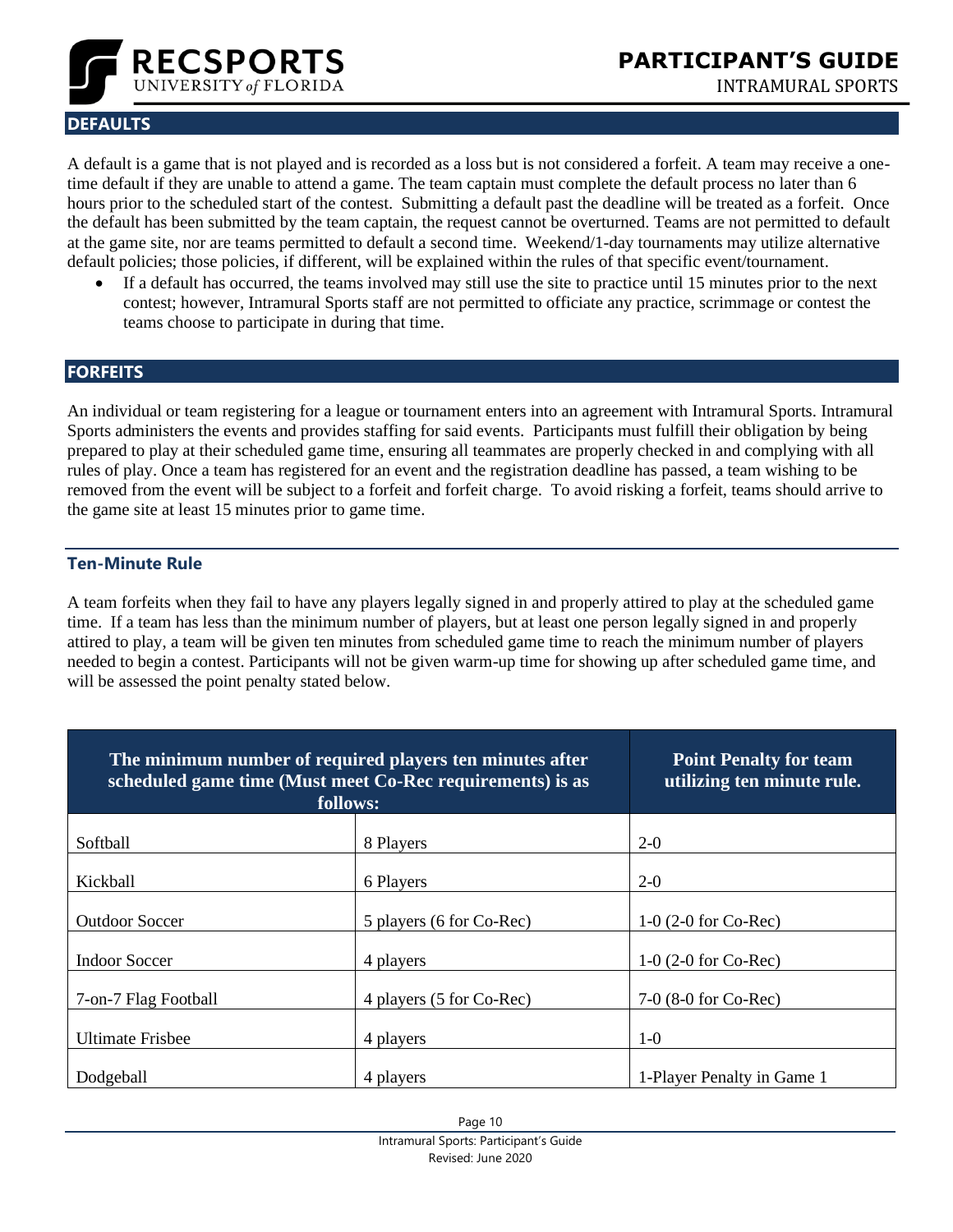

# <span id="page-9-0"></span>**DEFAULTS**

A default is a game that is not played and is recorded as a loss but is not considered a forfeit. A team may receive a onetime default if they are unable to attend a game. The team captain must complete the default process no later than 6 hours prior to the scheduled start of the contest. Submitting a default past the deadline will be treated as a forfeit. Once the default has been submitted by the team captain, the request cannot be overturned. Teams are not permitted to default at the game site, nor are teams permitted to default a second time. Weekend/1-day tournaments may utilize alternative default policies; those policies, if different, will be explained within the rules of that specific event/tournament.

• If a default has occurred, the teams involved may still use the site to practice until 15 minutes prior to the next contest; however, Intramural Sports staff are not permitted to officiate any practice, scrimmage or contest the teams choose to participate in during that time.

#### <span id="page-9-1"></span>**FORFEITS**

An individual or team registering for a league or tournament enters into an agreement with Intramural Sports. Intramural Sports administers the events and provides staffing for said events. Participants must fulfill their obligation by being prepared to play at their scheduled game time, ensuring all teammates are properly checked in and complying with all rules of play. Once a team has registered for an event and the registration deadline has passed, a team wishing to be removed from the event will be subject to a forfeit and forfeit charge. To avoid risking a forfeit, teams should arrive to the game site at least 15 minutes prior to game time.

#### **Ten-Minute Rule**

A team forfeits when they fail to have any players legally signed in and properly attired to play at the scheduled game time. If a team has less than the minimum number of players, but at least one person legally signed in and properly attired to play, a team will be given ten minutes from scheduled game time to reach the minimum number of players needed to begin a contest. Participants will not be given warm-up time for showing up after scheduled game time, and will be assessed the point penalty stated below.

| The minimum number of required players ten minutes after<br>scheduled game time (Must meet Co-Rec requirements) is as<br>follows: |                          | <b>Point Penalty for team</b><br>utilizing ten minute rule. |
|-----------------------------------------------------------------------------------------------------------------------------------|--------------------------|-------------------------------------------------------------|
| Softball                                                                                                                          | 8 Players                | $2-0$                                                       |
| Kickball                                                                                                                          | 6 Players                | $2-0$                                                       |
| <b>Outdoor Soccer</b>                                                                                                             | 5 players (6 for Co-Rec) | 1-0 $(2-0$ for Co-Rec)                                      |
| <b>Indoor Soccer</b>                                                                                                              | 4 players                | $1-0$ (2-0 for Co-Rec)                                      |
| 7-on-7 Flag Football                                                                                                              | 4 players (5 for Co-Rec) | $7-0$ (8-0 for Co-Rec)                                      |
| <b>Ultimate Frisbee</b>                                                                                                           | 4 players                | $1-0$                                                       |
| Dodgeball                                                                                                                         | 4 players                | 1-Player Penalty in Game 1                                  |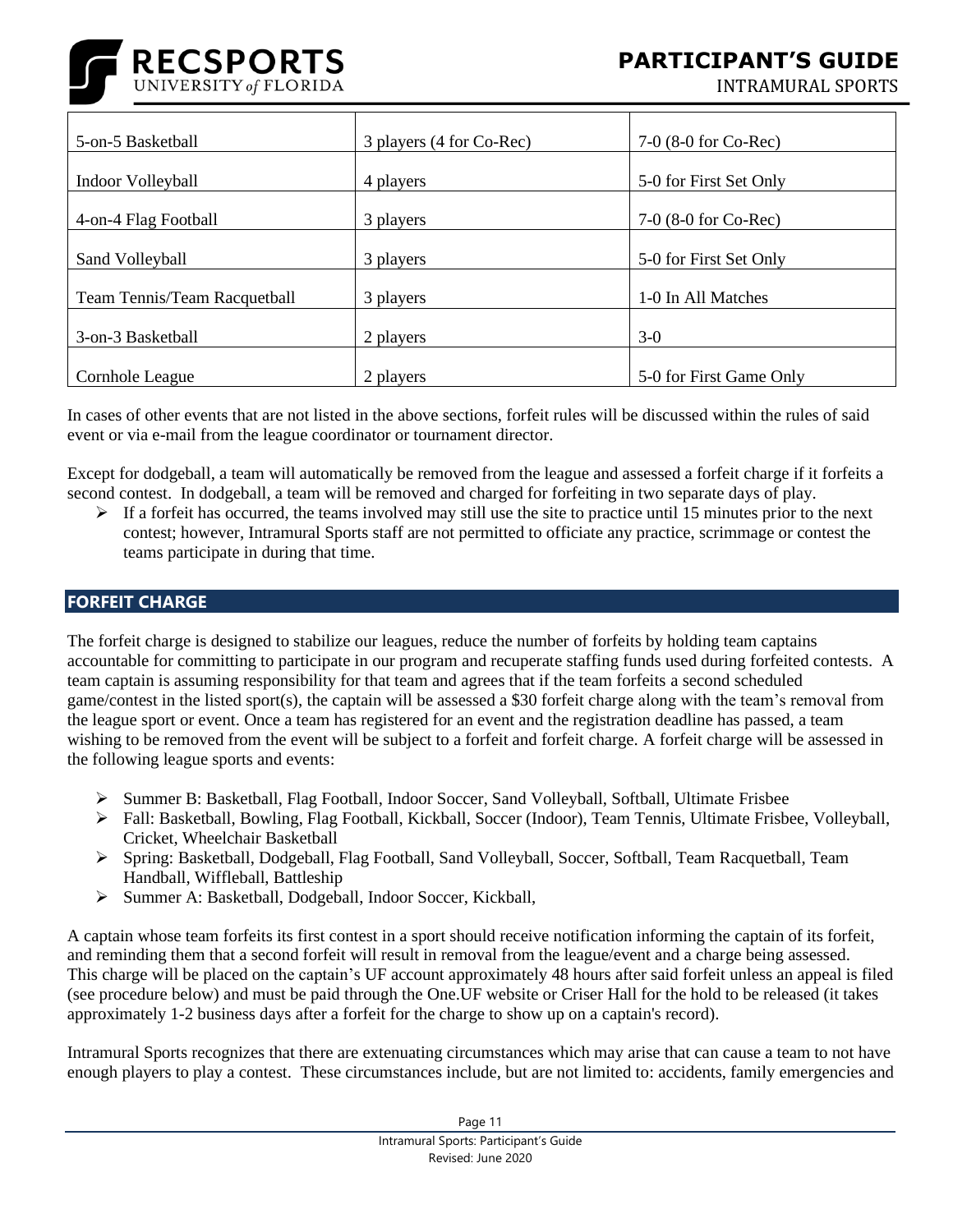

**FOCUS GROUPS** INTRAMURAL SPORTS

| 5-on-5 Basketball            | 3 players (4 for Co-Rec) | $7-0$ (8-0 for Co-Rec)  |
|------------------------------|--------------------------|-------------------------|
| Indoor Volleyball            | 4 players                | 5-0 for First Set Only  |
| 4-on-4 Flag Football         | 3 players                | $7-0$ (8-0 for Co-Rec)  |
| Sand Volleyball              | 3 players                | 5-0 for First Set Only  |
| Team Tennis/Team Racquetball | 3 players                | 1-0 In All Matches      |
| 3-on-3 Basketball            | 2 players                | $3-0$                   |
| Cornhole League              | 2 players                | 5-0 for First Game Only |

In cases of other events that are not listed in the above sections, forfeit rules will be discussed within the rules of said event or via e-mail from the league coordinator or tournament director.

Except for dodgeball, a team will automatically be removed from the league and assessed a forfeit charge if it forfeits a second contest. In dodgeball, a team will be removed and charged for forfeiting in two separate days of play.

 $\triangleright$  If a forfeit has occurred, the teams involved may still use the site to practice until 15 minutes prior to the next contest; however, Intramural Sports staff are not permitted to officiate any practice, scrimmage or contest the teams participate in during that time.

#### <span id="page-10-0"></span>**FORFEIT CHARGE**

The forfeit charge is designed to stabilize our leagues, reduce the number of forfeits by holding team captains accountable for committing to participate in our program and recuperate staffing funds used during forfeited contests. A team captain is assuming responsibility for that team and agrees that if the team forfeits a second scheduled game/contest in the listed sport(s), the captain will be assessed a \$30 forfeit charge along with the team's removal from the league sport or event. Once a team has registered for an event and the registration deadline has passed, a team wishing to be removed from the event will be subject to a forfeit and forfeit charge. A forfeit charge will be assessed in the following league sports and events:

- ➢ Summer B: Basketball, Flag Football, Indoor Soccer, Sand Volleyball, Softball, Ultimate Frisbee
- ➢ Fall: Basketball, Bowling, Flag Football, Kickball, Soccer (Indoor), Team Tennis, Ultimate Frisbee, Volleyball, Cricket, Wheelchair Basketball
- ➢ Spring: Basketball, Dodgeball, Flag Football, Sand Volleyball, Soccer, Softball, Team Racquetball, Team Handball, Wiffleball, Battleship
- ➢ Summer A: Basketball, Dodgeball, Indoor Soccer, Kickball,

A captain whose team forfeits its first contest in a sport should receive notification informing the captain of its forfeit, and reminding them that a second forfeit will result in removal from the league/event and a charge being assessed. This charge will be placed on the captain's UF account approximately 48 hours after said forfeit unless an appeal is filed (see procedure below) and must be paid through the One.UF website or Criser Hall for the hold to be released (it takes approximately 1-2 business days after a forfeit for the charge to show up on a captain's record).

Intramural Sports recognizes that there are extenuating circumstances which may arise that can cause a team to not have enough players to play a contest. These circumstances include, but are not limited to: accidents, family emergencies and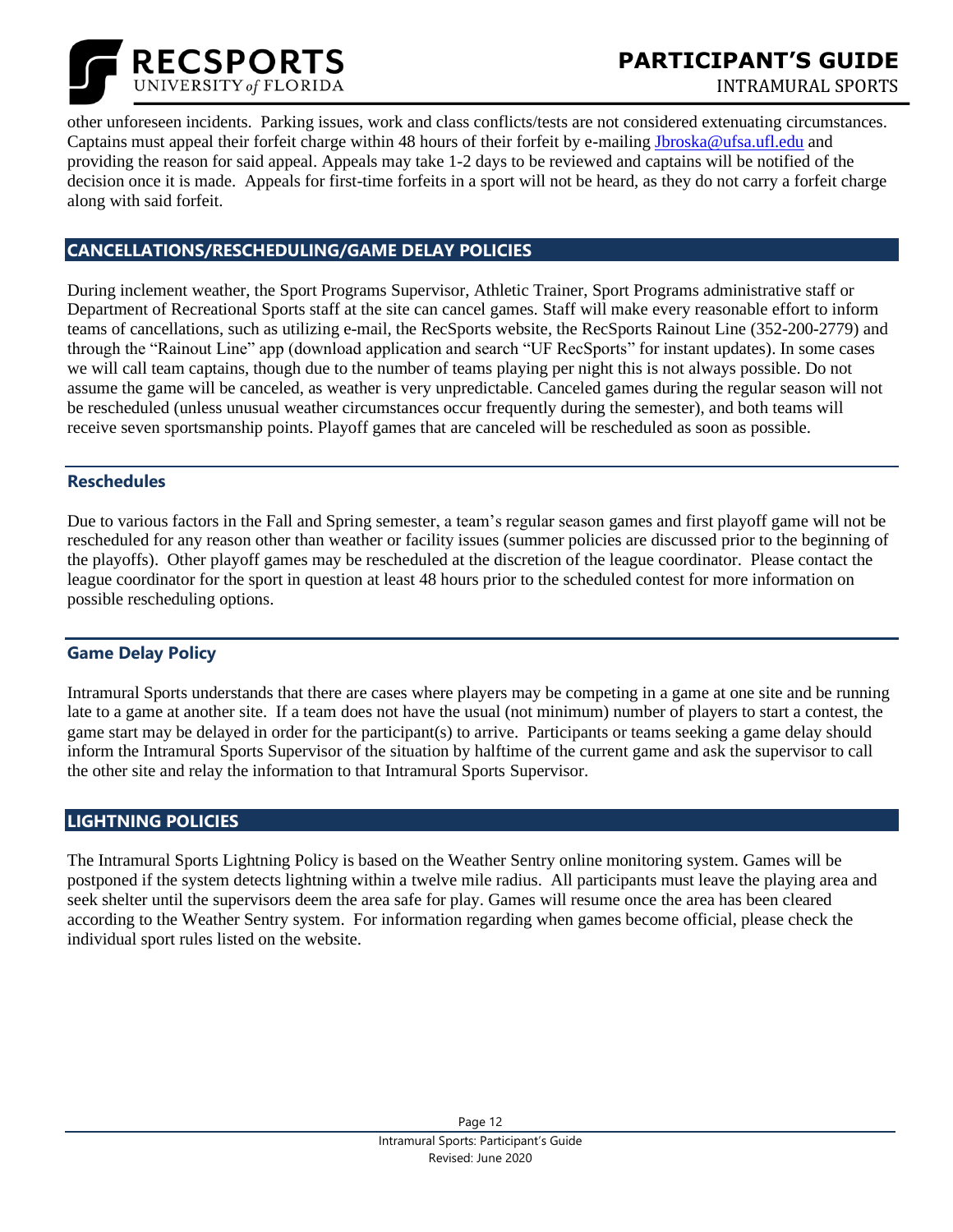

**PARTICIPANT'S GUIDE**

**FOCUS GROUPS** INTRAMURAL SPORTS

other unforeseen incidents. Parking issues, work and class conflicts/tests are not considered extenuating circumstances. Captains must appeal their forfeit charge within 48 hours of their forfeit by e-mailing [Jbroska@ufsa.ufl.edu](mailto:Jbroska@ufsa.ufl.edu) and providing the reason for said appeal. Appeals may take 1-2 days to be reviewed and captains will be notified of the decision once it is made. Appeals for first-time forfeits in a sport will not be heard, as they do not carry a forfeit charge along with said forfeit.

#### <span id="page-11-0"></span>**CANCELLATIONS/RESCHEDULING/GAME DELAY POLICIES**

During inclement weather, the Sport Programs Supervisor, Athletic Trainer, Sport Programs administrative staff or Department of Recreational Sports staff at the site can cancel games. Staff will make every reasonable effort to inform teams of cancellations, such as utilizing e-mail, the RecSports website, the RecSports Rainout Line (352-200-2779) and through the "Rainout Line" app (download application and search "UF RecSports" for instant updates). In some cases we will call team captains, though due to the number of teams playing per night this is not always possible. Do not assume the game will be canceled, as weather is very unpredictable. Canceled games during the regular season will not be rescheduled (unless unusual weather circumstances occur frequently during the semester), and both teams will receive seven sportsmanship points. Playoff games that are canceled will be rescheduled as soon as possible.

#### **Reschedules**

Due to various factors in the Fall and Spring semester, a team's regular season games and first playoff game will not be rescheduled for any reason other than weather or facility issues (summer policies are discussed prior to the beginning of the playoffs). Other playoff games may be rescheduled at the discretion of the league coordinator. Please contact the league coordinator for the sport in question at least 48 hours prior to the scheduled contest for more information on possible rescheduling options.

#### **Game Delay Policy**

Intramural Sports understands that there are cases where players may be competing in a game at one site and be running late to a game at another site. If a team does not have the usual (not minimum) number of players to start a contest, the game start may be delayed in order for the participant(s) to arrive. Participants or teams seeking a game delay should inform the Intramural Sports Supervisor of the situation by halftime of the current game and ask the supervisor to call the other site and relay the information to that Intramural Sports Supervisor.

#### <span id="page-11-1"></span>**LIGHTNING POLICIES**

The Intramural Sports Lightning Policy is based on the Weather Sentry online monitoring system. Games will be postponed if the system detects lightning within a twelve mile radius. All participants must leave the playing area and seek shelter until the supervisors deem the area safe for play. Games will resume once the area has been cleared according to the Weather Sentry system. For information regarding when games become official, please check the individual sport rules listed on the website.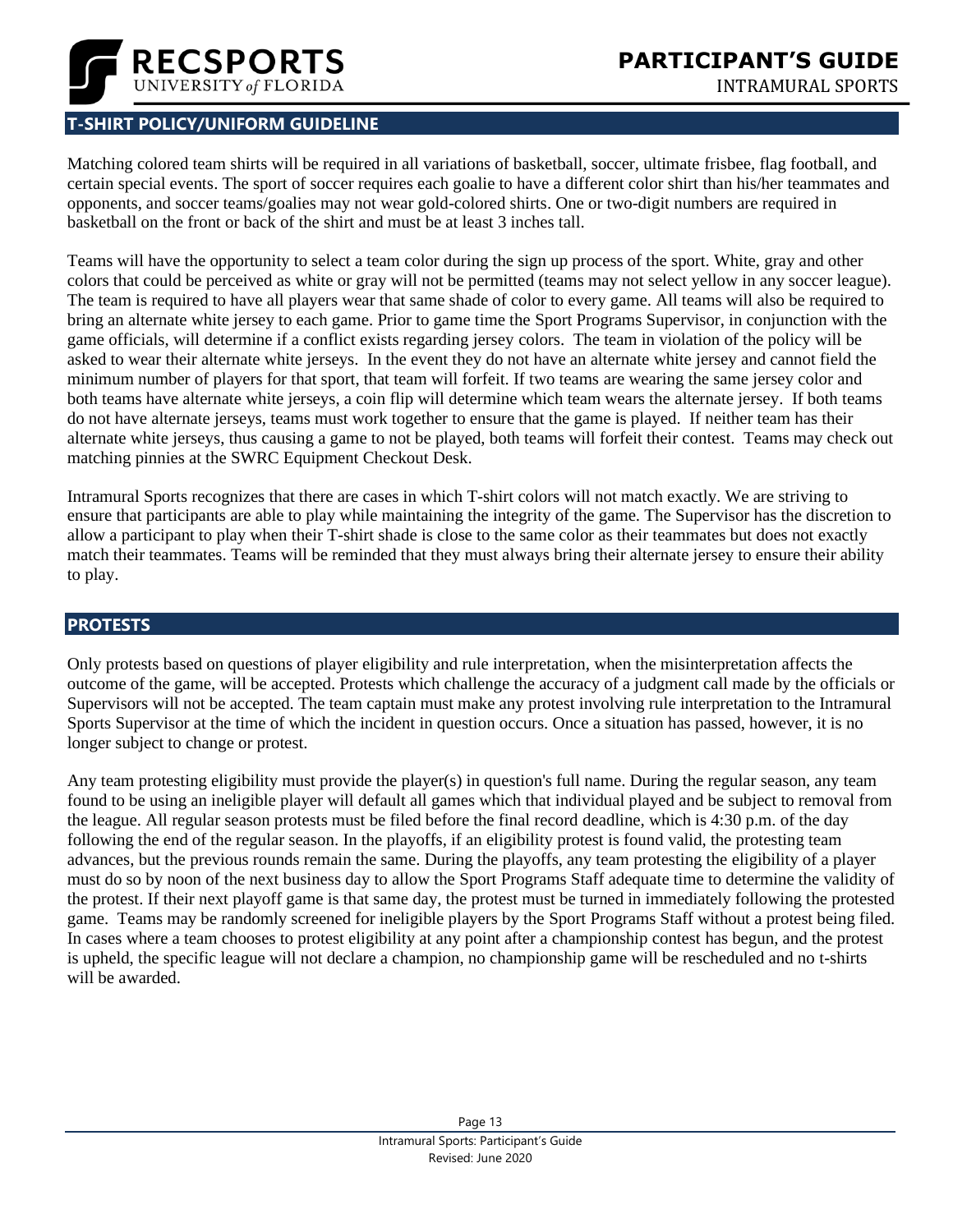

# <span id="page-12-0"></span>**T-SHIRT POLICY/UNIFORM GUIDELINE**

Matching colored team shirts will be required in all variations of basketball, soccer, ultimate frisbee, flag football, and certain special events. The sport of soccer requires each goalie to have a different color shirt than his/her teammates and opponents, and soccer teams/goalies may not wear gold-colored shirts. One or two-digit numbers are required in basketball on the front or back of the shirt and must be at least 3 inches tall.

Teams will have the opportunity to select a team color during the sign up process of the sport. White, gray and other colors that could be perceived as white or gray will not be permitted (teams may not select yellow in any soccer league). The team is required to have all players wear that same shade of color to every game. All teams will also be required to bring an alternate white jersey to each game. Prior to game time the Sport Programs Supervisor, in conjunction with the game officials, will determine if a conflict exists regarding jersey colors. The team in violation of the policy will be asked to wear their alternate white jerseys. In the event they do not have an alternate white jersey and cannot field the minimum number of players for that sport, that team will forfeit. If two teams are wearing the same jersey color and both teams have alternate white jerseys, a coin flip will determine which team wears the alternate jersey. If both teams do not have alternate jerseys, teams must work together to ensure that the game is played. If neither team has their alternate white jerseys, thus causing a game to not be played, both teams will forfeit their contest. Teams may check out matching pinnies at the SWRC Equipment Checkout Desk.

Intramural Sports recognizes that there are cases in which T-shirt colors will not match exactly. We are striving to ensure that participants are able to play while maintaining the integrity of the game. The Supervisor has the discretion to allow a participant to play when their T-shirt shade is close to the same color as their teammates but does not exactly match their teammates. Teams will be reminded that they must always bring their alternate jersey to ensure their ability to play.

#### <span id="page-12-1"></span>**PROTESTS**

Only protests based on questions of player eligibility and rule interpretation, when the misinterpretation affects the outcome of the game, will be accepted. Protests which challenge the accuracy of a judgment call made by the officials or Supervisors will not be accepted. The team captain must make any protest involving rule interpretation to the Intramural Sports Supervisor at the time of which the incident in question occurs. Once a situation has passed, however, it is no longer subject to change or protest.

Any team protesting eligibility must provide the player(s) in question's full name. During the regular season, any team found to be using an ineligible player will default all games which that individual played and be subject to removal from the league. All regular season protests must be filed before the final record deadline, which is 4:30 p.m. of the day following the end of the regular season. In the playoffs, if an eligibility protest is found valid, the protesting team advances, but the previous rounds remain the same. During the playoffs, any team protesting the eligibility of a player must do so by noon of the next business day to allow the Sport Programs Staff adequate time to determine the validity of the protest. If their next playoff game is that same day, the protest must be turned in immediately following the protested game. Teams may be randomly screened for ineligible players by the Sport Programs Staff without a protest being filed. In cases where a team chooses to protest eligibility at any point after a championship contest has begun, and the protest is upheld, the specific league will not declare a champion, no championship game will be rescheduled and no t-shirts will be awarded.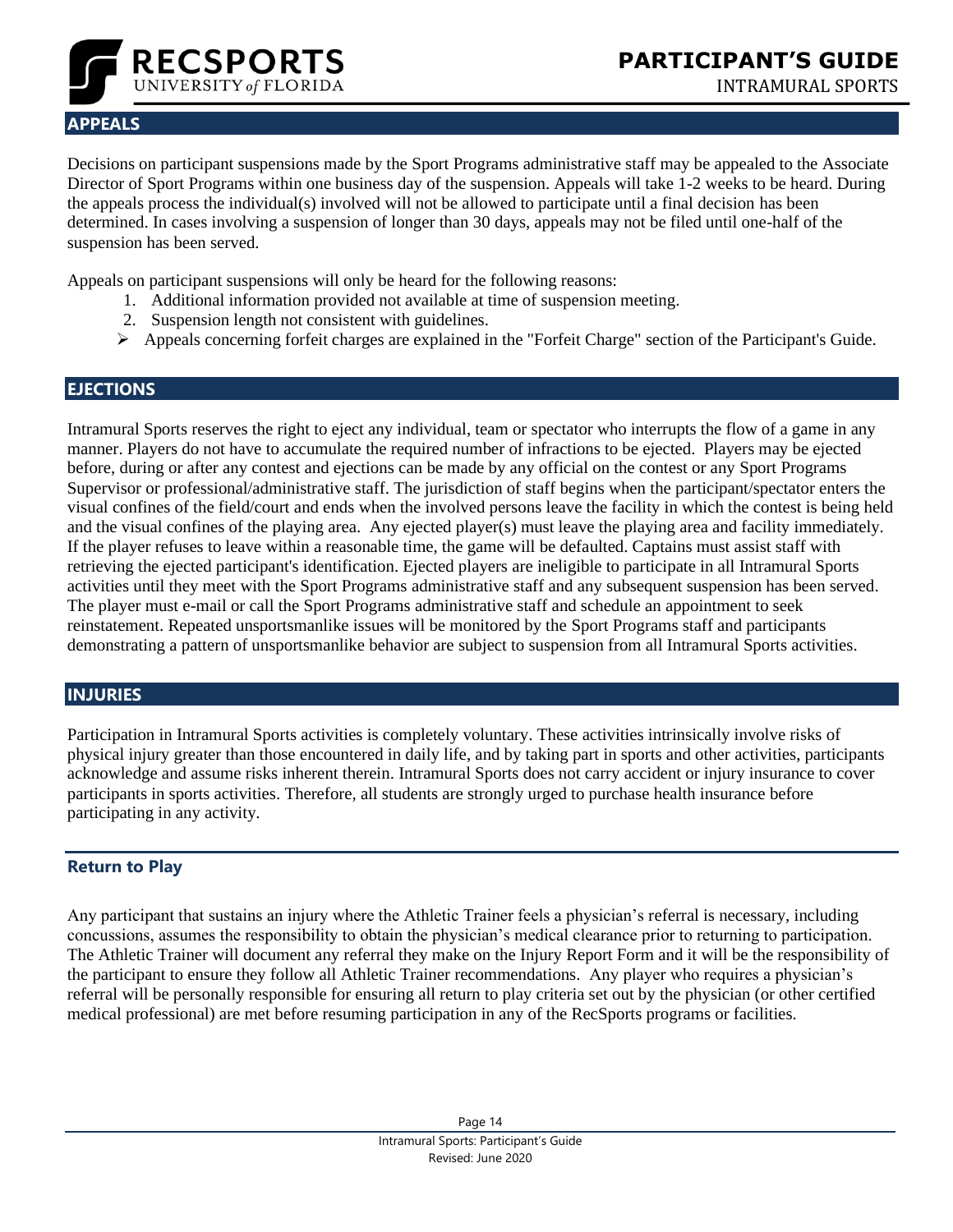

# <span id="page-13-0"></span>**APPEALS**

Decisions on participant suspensions made by the Sport Programs administrative staff may be appealed to the Associate Director of Sport Programs within one business day of the suspension. Appeals will take 1-2 weeks to be heard. During the appeals process the individual(s) involved will not be allowed to participate until a final decision has been determined. In cases involving a suspension of longer than 30 days, appeals may not be filed until one-half of the suspension has been served.

Appeals on participant suspensions will only be heard for the following reasons:

- 1. Additional information provided not available at time of suspension meeting.
- 2. Suspension length not consistent with guidelines.
- ➢ Appeals concerning forfeit charges are explained in the "Forfeit Charge" section of the Participant's Guide.

# <span id="page-13-1"></span>**EJECTIONS**

Intramural Sports reserves the right to eject any individual, team or spectator who interrupts the flow of a game in any manner. Players do not have to accumulate the required number of infractions to be ejected. Players may be ejected before, during or after any contest and ejections can be made by any official on the contest or any Sport Programs Supervisor or professional/administrative staff. The jurisdiction of staff begins when the participant/spectator enters the visual confines of the field/court and ends when the involved persons leave the facility in which the contest is being held and the visual confines of the playing area. Any ejected player(s) must leave the playing area and facility immediately. If the player refuses to leave within a reasonable time, the game will be defaulted. Captains must assist staff with retrieving the ejected participant's identification. Ejected players are ineligible to participate in all Intramural Sports activities until they meet with the Sport Programs administrative staff and any subsequent suspension has been served. The player must e-mail or call the Sport Programs administrative staff and schedule an appointment to seek reinstatement. Repeated unsportsmanlike issues will be monitored by the Sport Programs staff and participants demonstrating a pattern of unsportsmanlike behavior are subject to suspension from all Intramural Sports activities.

# <span id="page-13-2"></span>**INJURIES**

Participation in Intramural Sports activities is completely voluntary. These activities intrinsically involve risks of physical injury greater than those encountered in daily life, and by taking part in sports and other activities, participants acknowledge and assume risks inherent therein. Intramural Sports does not carry accident or injury insurance to cover participants in sports activities. Therefore, all students are strongly urged to purchase health insurance before participating in any activity.

#### **Return to Play**

Any participant that sustains an injury where the Athletic Trainer feels a physician's referral is necessary, including concussions, assumes the responsibility to obtain the physician's medical clearance prior to returning to participation. The Athletic Trainer will document any referral they make on the Injury Report Form and it will be the responsibility of the participant to ensure they follow all Athletic Trainer recommendations. Any player who requires a physician's referral will be personally responsible for ensuring all return to play criteria set out by the physician (or other certified medical professional) are met before resuming participation in any of the RecSports programs or facilities.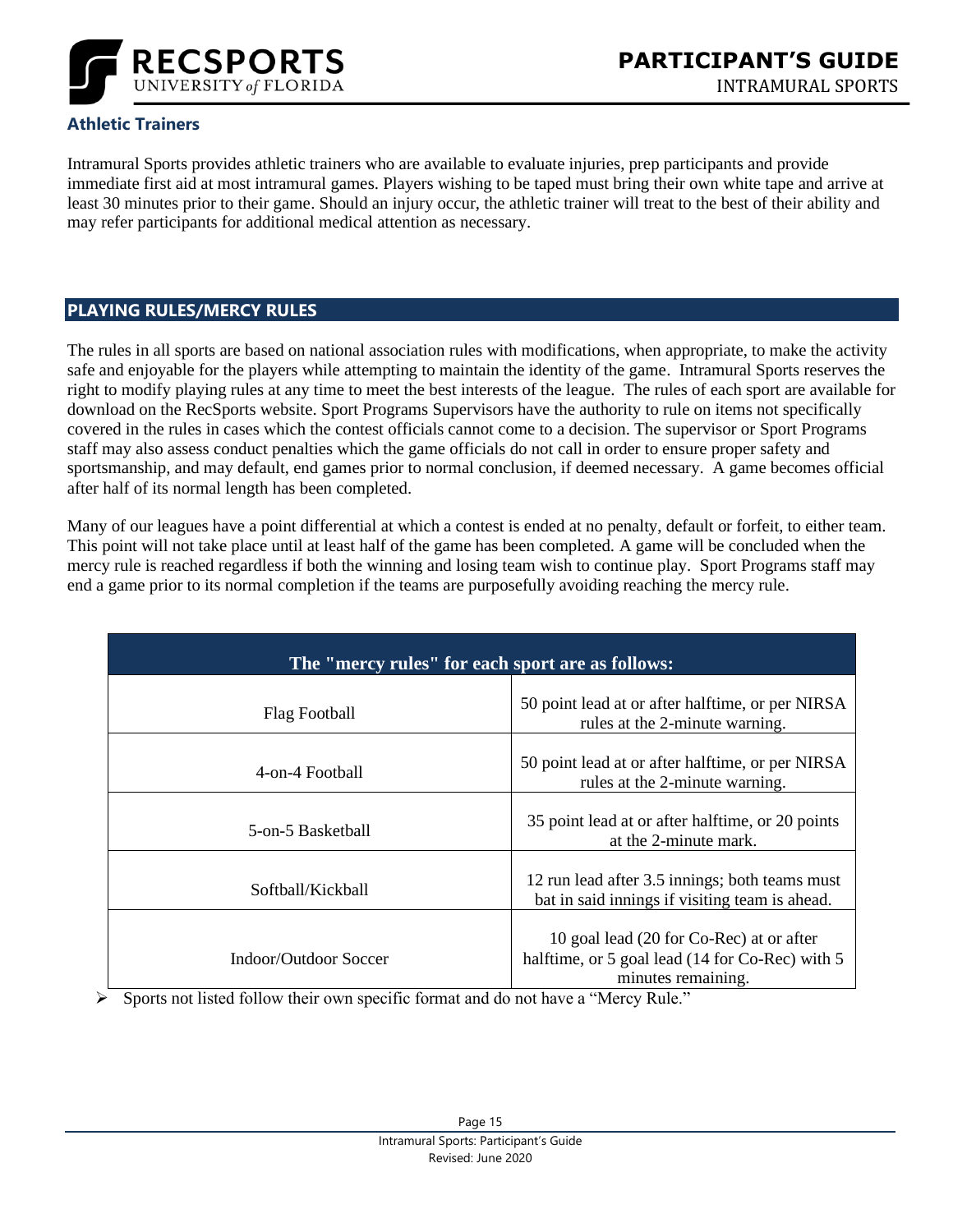

# **Athletic Trainers**

Intramural Sports provides athletic trainers who are available to evaluate injuries, prep participants and provide immediate first aid at most intramural games. Players wishing to be taped must bring their own white tape and arrive at least 30 minutes prior to their game. Should an injury occur, the athletic trainer will treat to the best of their ability and may refer participants for additional medical attention as necessary.

#### <span id="page-14-0"></span>**PLAYING RULES/MERCY RULES**

The rules in all sports are based on national association rules with modifications, when appropriate, to make the activity safe and enjoyable for the players while attempting to maintain the identity of the game. Intramural Sports reserves the right to modify playing rules at any time to meet the best interests of the league. The rules of each sport are available for download on the RecSports website. Sport Programs Supervisors have the authority to rule on items not specifically covered in the rules in cases which the contest officials cannot come to a decision. The supervisor or Sport Programs staff may also assess conduct penalties which the game officials do not call in order to ensure proper safety and sportsmanship, and may default, end games prior to normal conclusion, if deemed necessary. A game becomes official after half of its normal length has been completed.

Many of our leagues have a point differential at which a contest is ended at no penalty, default or forfeit, to either team. This point will not take place until at least half of the game has been completed. A game will be concluded when the mercy rule is reached regardless if both the winning and losing team wish to continue play. Sport Programs staff may end a game prior to its normal completion if the teams are purposefully avoiding reaching the mercy rule.

| The "mercy rules" for each sport are as follows: |                                                                                                                   |  |
|--------------------------------------------------|-------------------------------------------------------------------------------------------------------------------|--|
| Flag Football                                    | 50 point lead at or after halftime, or per NIRSA<br>rules at the 2-minute warning.                                |  |
| 4-on-4 Football                                  | 50 point lead at or after halftime, or per NIRSA<br>rules at the 2-minute warning.                                |  |
| 5-on-5 Basketball                                | 35 point lead at or after halftime, or 20 points<br>at the 2-minute mark.                                         |  |
| Softball/Kickball                                | 12 run lead after 3.5 innings; both teams must<br>bat in said innings if visiting team is ahead.                  |  |
| <b>Indoor/Outdoor Soccer</b>                     | 10 goal lead (20 for Co-Rec) at or after<br>halftime, or 5 goal lead (14 for Co-Rec) with 5<br>minutes remaining. |  |

➢ Sports not listed follow their own specific format and do not have a "Mercy Rule."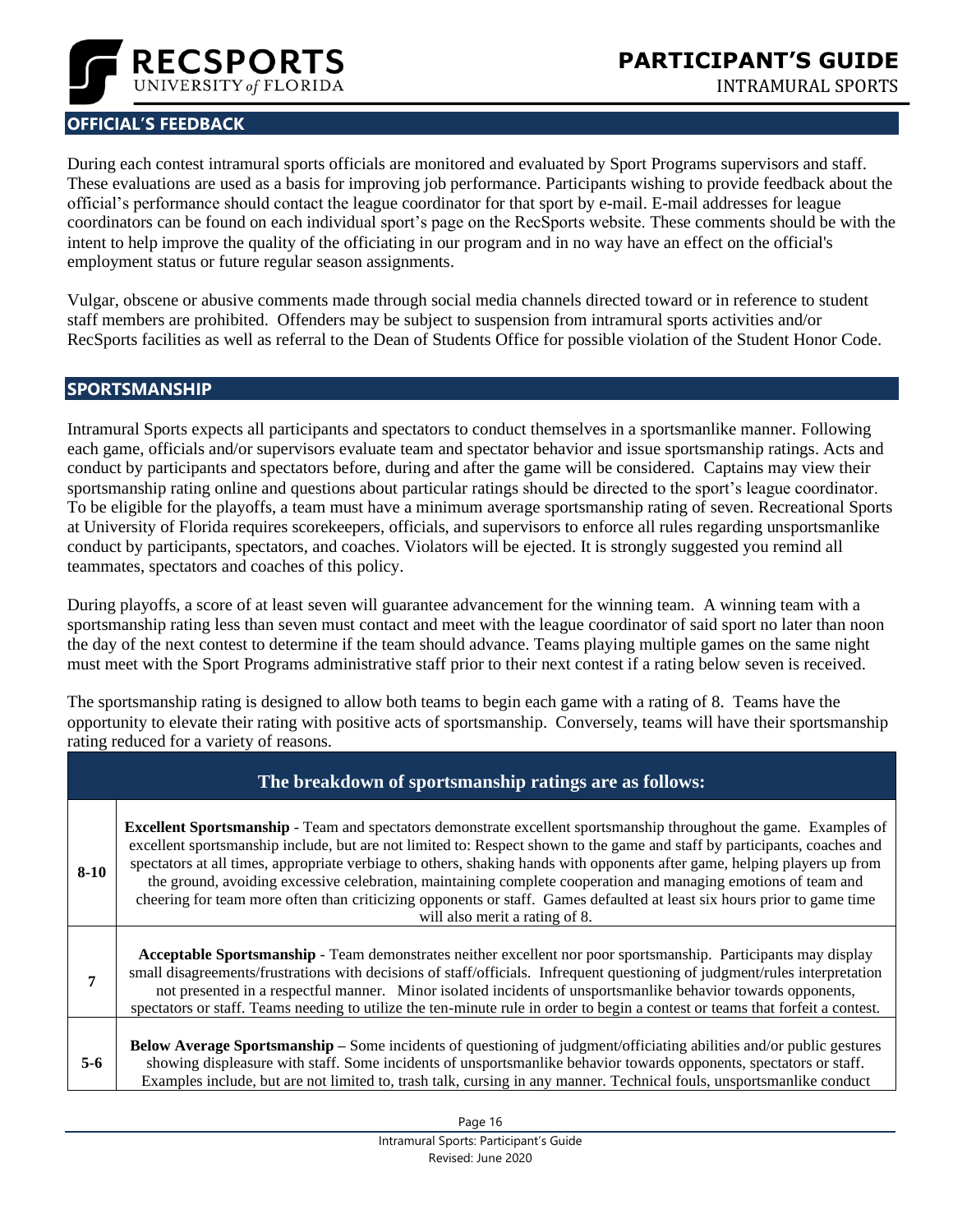

# <span id="page-15-0"></span>**OFFICIAL'S FEEDBACK**

During each contest intramural sports officials are monitored and evaluated by Sport Programs supervisors and staff. These evaluations are used as a basis for improving job performance. Participants wishing to provide feedback about the official's performance should contact the league coordinator for that sport by e-mail. E-mail addresses for league coordinators can be found on each individual sport's page on the RecSports website. These comments should be with the intent to help improve the quality of the officiating in our program and in no way have an effect on the official's employment status or future regular season assignments.

Vulgar, obscene or abusive comments made through social media channels directed toward or in reference to student staff members are prohibited. Offenders may be subject to suspension from intramural sports activities and/or RecSports facilities as well as referral to the Dean of Students Office for possible violation of the Student Honor Code.

#### <span id="page-15-1"></span>**SPORTSMANSHIP**

Intramural Sports expects all participants and spectators to conduct themselves in a sportsmanlike manner. Following each game, officials and/or supervisors evaluate team and spectator behavior and issue sportsmanship ratings. Acts and conduct by participants and spectators before, during and after the game will be considered. Captains may view their sportsmanship rating online and questions about particular ratings should be directed to the sport's league coordinator. To be eligible for the playoffs, a team must have a minimum average sportsmanship rating of seven. Recreational Sports at University of Florida requires scorekeepers, officials, and supervisors to enforce all rules regarding unsportsmanlike conduct by participants, spectators, and coaches. Violators will be ejected. It is strongly suggested you remind all teammates, spectators and coaches of this policy.

During playoffs, a score of at least seven will guarantee advancement for the winning team. A winning team with a sportsmanship rating less than seven must contact and meet with the league coordinator of said sport no later than noon the day of the next contest to determine if the team should advance. Teams playing multiple games on the same night must meet with the Sport Programs administrative staff prior to their next contest if a rating below seven is received.

The sportsmanship rating is designed to allow both teams to begin each game with a rating of 8. Teams have the opportunity to elevate their rating with positive acts of sportsmanship. Conversely, teams will have their sportsmanship rating reduced for a variety of reasons.

|         | The breakdown of sportsmanship ratings are as follows:                                                                                                                                                                                                                                                                                                                                                                                                                                                                                                                                                                                                             |
|---------|--------------------------------------------------------------------------------------------------------------------------------------------------------------------------------------------------------------------------------------------------------------------------------------------------------------------------------------------------------------------------------------------------------------------------------------------------------------------------------------------------------------------------------------------------------------------------------------------------------------------------------------------------------------------|
| $8-10$  | <b>Excellent Sportsmanship</b> - Team and spectators demonstrate excellent sportsmanship throughout the game. Examples of<br>excellent sportsmanship include, but are not limited to: Respect shown to the game and staff by participants, coaches and<br>spectators at all times, appropriate verbiage to others, shaking hands with opponents after game, helping players up from<br>the ground, avoiding excessive celebration, maintaining complete cooperation and managing emotions of team and<br>cheering for team more often than criticizing opponents or staff. Games defaulted at least six hours prior to game time<br>will also merit a rating of 8. |
| 7       | Acceptable Sportsmanship - Team demonstrates neither excellent nor poor sportsmanship. Participants may display<br>small disagreements/frustrations with decisions of staff/officials. Infrequent questioning of judgment/rules interpretation<br>not presented in a respectful manner. Minor isolated incidents of unsportsmanlike behavior towards opponents,<br>spectators or staff. Teams needing to utilize the ten-minute rule in order to begin a contest or teams that forfeit a contest.                                                                                                                                                                  |
| $5 - 6$ | Below Average Sportsmanship – Some incidents of questioning of judgment/officiating abilities and/or public gestures<br>showing displeasure with staff. Some incidents of unsportsmanlike behavior towards opponents, spectators or staff.<br>Examples include, but are not limited to, trash talk, cursing in any manner. Technical fouls, unsportsmanlike conduct                                                                                                                                                                                                                                                                                                |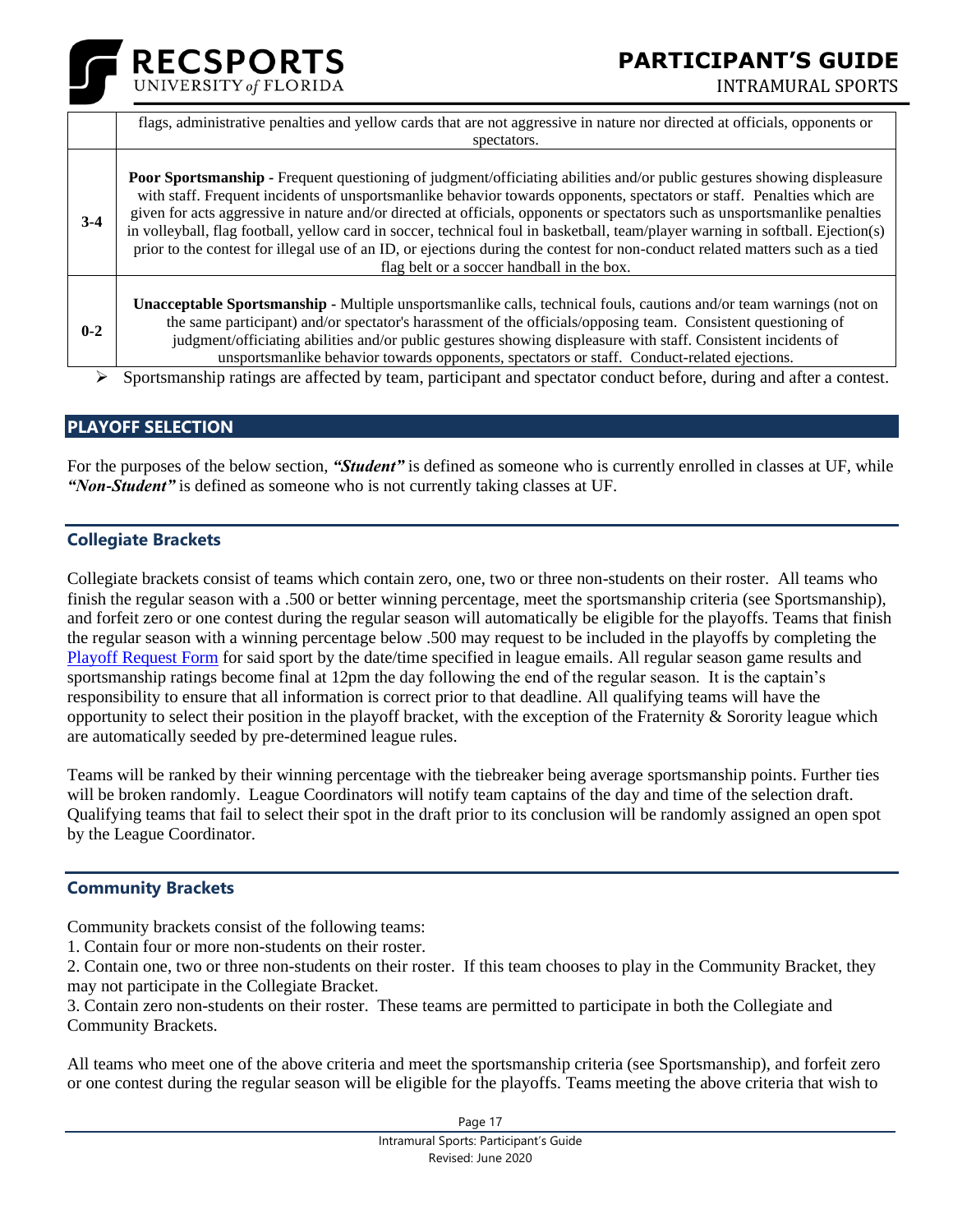# **PARTICIPANT'S GUIDE**



|         | flags, administrative penalties and yellow cards that are not aggressive in nature nor directed at officials, opponents or<br>spectators.                                                                                                                                                                                                                                                                                                                                                                                                                                                                                                                                                                |
|---------|----------------------------------------------------------------------------------------------------------------------------------------------------------------------------------------------------------------------------------------------------------------------------------------------------------------------------------------------------------------------------------------------------------------------------------------------------------------------------------------------------------------------------------------------------------------------------------------------------------------------------------------------------------------------------------------------------------|
| $3-4$   | <b>Poor Sportsmanship -</b> Frequent questioning of judgment/officiating abilities and/or public gestures showing displeasure<br>with staff. Frequent incidents of unsportsmanlike behavior towards opponents, spectators or staff. Penalties which are<br>given for acts aggressive in nature and/or directed at officials, opponents or spectators such as unsportsmanlike penalties<br>in volleyball, flag football, yellow card in soccer, technical foul in basketball, team/player warning in softball. Ejection(s)<br>prior to the contest for illegal use of an ID, or ejections during the contest for non-conduct related matters such as a tied<br>flag belt or a soccer handball in the box. |
| $0 - 2$ | <b>Unacceptable Sportsmanship - Multiple unsportsmanlike calls, technical fouls, cautions and/or team warnings (not on</b><br>the same participant) and/or spectator's harassment of the officials/opposing team. Consistent questioning of<br>to damant/afficiation abilities on d/annobite accessory diaming displayment mith staff. Consistent insidents of                                                                                                                                                                                                                                                                                                                                           |

judgment/officiating abilities and/or public gestures showing displeasure with staff. Consistent incidents of unsportsmanlike behavior towards opponents, spectators or staff. Conduct-related ejections.

Sportsmanship ratings are affected by team, participant and spectator conduct before, during and after a contest.

#### <span id="page-16-0"></span>**PLAYOFF SELECTION**

**RECSPORTS** 

For the purposes of the below section, *"Student"* is defined as someone who is currently enrolled in classes at UF, while *"Non-Student"* is defined as someone who is not currently taking classes at UF.

#### **Collegiate Brackets**

Collegiate brackets consist of teams which contain zero, one, two or three non-students on their roster. All teams who finish the regular season with a .500 or better winning percentage, meet the sportsmanship criteria (see Sportsmanship), and forfeit zero or one contest during the regular season will automatically be eligible for the playoffs. Teams that finish the regular season with a winning percentage below .500 may request to be included in the playoffs by completing the [Playoff Request Form](https://docs.google.com/forms/d/e/1FAIpQLScQeA9Uo9zNIFjXaKjETSx1bkmkyr5ORUOCE_X98oZ_OukCWg/viewform) for said sport by the date/time specified in league emails. All regular season game results and sportsmanship ratings become final at 12pm the day following the end of the regular season. It is the captain's responsibility to ensure that all information is correct prior to that deadline. All qualifying teams will have the opportunity to select their position in the playoff bracket, with the exception of the Fraternity  $\&$  Sorority league which are automatically seeded by pre-determined league rules.

Teams will be ranked by their winning percentage with the tiebreaker being average sportsmanship points. Further ties will be broken randomly. League Coordinators will notify team captains of the day and time of the selection draft. Qualifying teams that fail to select their spot in the draft prior to its conclusion will be randomly assigned an open spot by the League Coordinator.

#### **Community Brackets**

Community brackets consist of the following teams:

1. Contain four or more non-students on their roster.

2. Contain one, two or three non-students on their roster. If this team chooses to play in the Community Bracket, they may not participate in the Collegiate Bracket.

3. Contain zero non-students on their roster. These teams are permitted to participate in both the Collegiate and Community Brackets.

All teams who meet one of the above criteria and meet the sportsmanship criteria (see Sportsmanship), and forfeit zero or one contest during the regular season will be eligible for the playoffs. Teams meeting the above criteria that wish to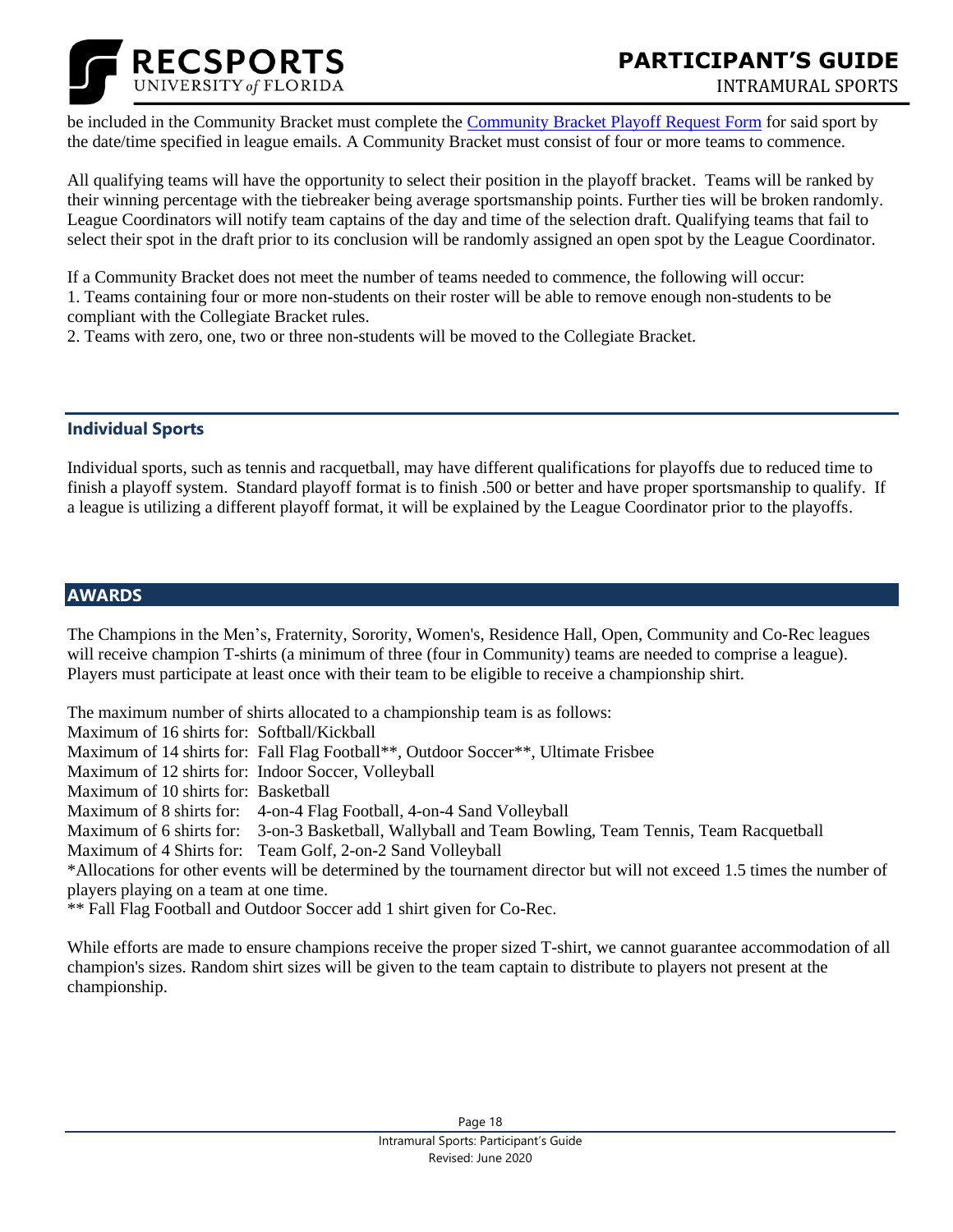

**FOCUS GROUPS** be included in the Community Bracket must complete the [Community Bracket Playoff Request Form](https://docs.google.com/forms/d/e/1FAIpQLScQeA9Uo9zNIFjXaKjETSx1bkmkyr5ORUOCE_X98oZ_OukCWg/viewform) for said sport by the date/time specified in league emails. A Community Bracket must consist of four or more teams to commence.

All qualifying teams will have the opportunity to select their position in the playoff bracket. Teams will be ranked by their winning percentage with the tiebreaker being average sportsmanship points. Further ties will be broken randomly. League Coordinators will notify team captains of the day and time of the selection draft. Qualifying teams that fail to select their spot in the draft prior to its conclusion will be randomly assigned an open spot by the League Coordinator.

If a Community Bracket does not meet the number of teams needed to commence, the following will occur: 1. Teams containing four or more non-students on their roster will be able to remove enough non-students to be compliant with the Collegiate Bracket rules.

2. Teams with zero, one, two or three non-students will be moved to the Collegiate Bracket.

#### **Individual Sports**

Individual sports, such as tennis and racquetball, may have different qualifications for playoffs due to reduced time to finish a playoff system. Standard playoff format is to finish .500 or better and have proper sportsmanship to qualify. If a league is utilizing a different playoff format, it will be explained by the League Coordinator prior to the playoffs.

#### <span id="page-17-0"></span>**AWARDS**

The Champions in the Men's, Fraternity, Sorority, Women's, Residence Hall, Open, Community and Co-Rec leagues will receive champion T-shirts (a minimum of three (four in Community) teams are needed to comprise a league). Players must participate at least once with their team to be eligible to receive a championship shirt.

The maximum number of shirts allocated to a championship team is as follows:

Maximum of 16 shirts for: Softball/Kickball

Maximum of 14 shirts for: Fall Flag Football\*\*, Outdoor Soccer\*\*, Ultimate Frisbee

Maximum of 12 shirts for: Indoor Soccer, Volleyball

Maximum of 10 shirts for: Basketball

Maximum of 8 shirts for: 4-on-4 Flag Football, 4-on-4 Sand Volleyball

Maximum of 6 shirts for: 3-on-3 Basketball, Wallyball and Team Bowling, Team Tennis, Team Racquetball

Maximum of 4 Shirts for: Team Golf, 2-on-2 Sand Volleyball

\*Allocations for other events will be determined by the tournament director but will not exceed 1.5 times the number of players playing on a team at one time.

\*\* Fall Flag Football and Outdoor Soccer add 1 shirt given for Co-Rec.

While efforts are made to ensure champions receive the proper sized T-shirt, we cannot guarantee accommodation of all champion's sizes. Random shirt sizes will be given to the team captain to distribute to players not present at the championship.